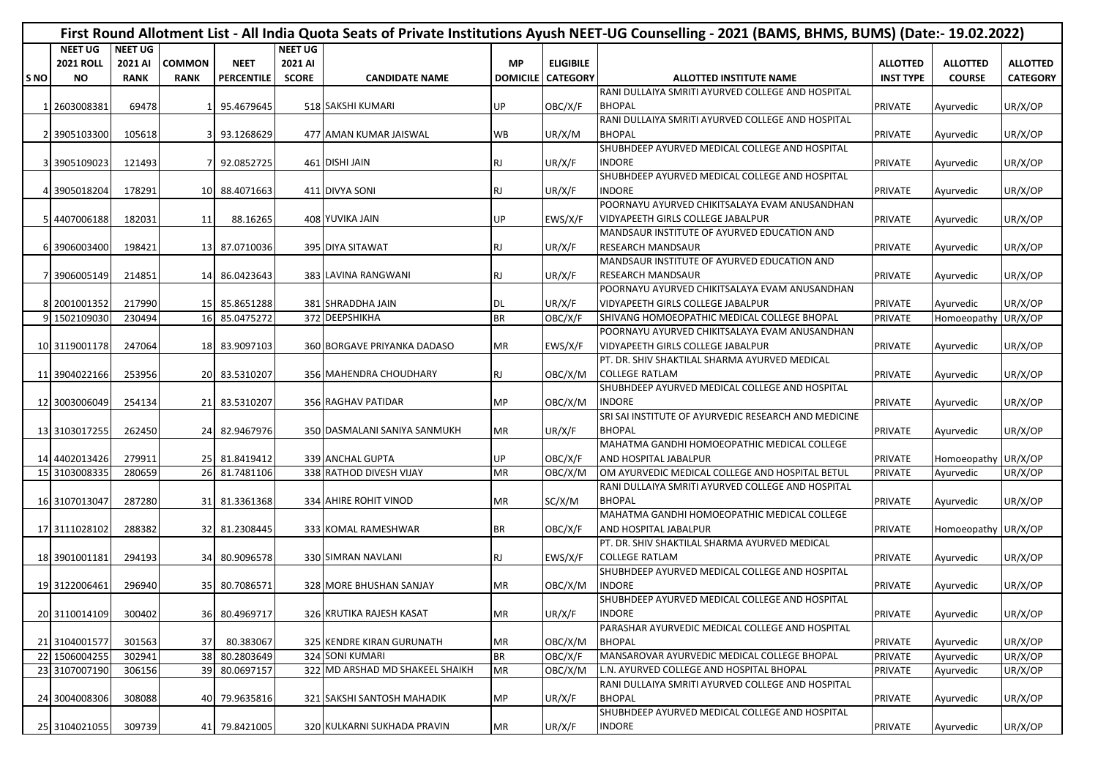|                 | First Round Allotment List - All India Quota Seats of Private Institutions Ayush NEET-UG Counselling - 2021 (BAMS, BHMS, BUMS) (Date:- 19.02.2022) |                |               |                   |                |                                 |           |                          |                                                      |                  |                     |                 |  |  |
|-----------------|----------------------------------------------------------------------------------------------------------------------------------------------------|----------------|---------------|-------------------|----------------|---------------------------------|-----------|--------------------------|------------------------------------------------------|------------------|---------------------|-----------------|--|--|
|                 | <b>NEET UG</b>                                                                                                                                     | <b>NEET UG</b> |               |                   | <b>NEET UG</b> |                                 |           |                          |                                                      |                  |                     |                 |  |  |
|                 | <b>2021 ROLL</b>                                                                                                                                   | 2021 AI        | <b>COMMON</b> | <b>NEET</b>       | 2021 AI        |                                 | <b>MP</b> | <b>ELIGIBILE</b>         |                                                      | <b>ALLOTTED</b>  | <b>ALLOTTED</b>     | <b>ALLOTTED</b> |  |  |
| S <sub>NO</sub> | <b>NO</b>                                                                                                                                          | <b>RANK</b>    | <b>RANK</b>   | <b>PERCENTILE</b> | <b>SCORE</b>   | <b>CANDIDATE NAME</b>           |           | <b>DOMICILE CATEGORY</b> | <b>ALLOTTED INSTITUTE NAME</b>                       | <b>INST TYPE</b> | <b>COURSE</b>       | <b>CATEGORY</b> |  |  |
|                 |                                                                                                                                                    |                |               |                   |                |                                 |           |                          | RANI DULLAIYA SMRITI AYURVED COLLEGE AND HOSPITAL    |                  |                     |                 |  |  |
|                 | 2603008381                                                                                                                                         | 69478          |               | 95.4679645        |                | 518 SAKSHI KUMARI               | UP        | OBC/X/F                  | <b>BHOPAL</b>                                        | <b>PRIVATE</b>   | Ayurvedic           | UR/X/OP         |  |  |
|                 |                                                                                                                                                    |                |               |                   |                |                                 |           |                          | RANI DULLAIYA SMRITI AYURVED COLLEGE AND HOSPITAL    |                  |                     |                 |  |  |
|                 | 2 3905103300                                                                                                                                       | 105618         |               | 93.1268629        |                | 477 AMAN KUMAR JAISWAL          | <b>WB</b> | UR/X/M                   | <b>BHOPAL</b>                                        | <b>PRIVATE</b>   | Ayurvedic           | UR/X/OP         |  |  |
|                 |                                                                                                                                                    |                |               |                   |                |                                 |           |                          | SHUBHDEEP AYURVED MEDICAL COLLEGE AND HOSPITAL       |                  |                     |                 |  |  |
|                 | 3 3905109023                                                                                                                                       | 121493         |               | 92.0852725        |                | 461 DISHI JAIN                  | <b>RJ</b> | UR/X/F                   | <b>INDORE</b>                                        | <b>PRIVATE</b>   | Ayurvedic           | UR/X/OP         |  |  |
|                 |                                                                                                                                                    |                |               |                   |                |                                 |           |                          | SHUBHDEEP AYURVED MEDICAL COLLEGE AND HOSPITAL       |                  |                     |                 |  |  |
|                 | 4 3905018204                                                                                                                                       | 178291         |               | 10 88.4071663     |                | 411 DIVYA SONI                  | <b>RJ</b> | UR/X/F                   | <b>INDORE</b>                                        | <b>PRIVATE</b>   | Ayurvedic           | UR/X/OP         |  |  |
|                 |                                                                                                                                                    |                |               |                   |                |                                 |           |                          | POORNAYU AYURVED CHIKITSALAYA EVAM ANUSANDHAN        |                  |                     |                 |  |  |
|                 | 5 4407006188                                                                                                                                       | 182031         | 11            | 88.16265          |                | 408 YUVIKA JAIN                 | UP        | EWS/X/F                  | VIDYAPEETH GIRLS COLLEGE JABALPUR                    | <b>PRIVATE</b>   | Ayurvedic           | UR/X/OP         |  |  |
|                 |                                                                                                                                                    |                |               |                   |                |                                 |           |                          | MANDSAUR INSTITUTE OF AYURVED EDUCATION AND          |                  |                     |                 |  |  |
|                 | 6 3906003400                                                                                                                                       | 198421         |               | 13 87.0710036     |                | 395 DIYA SITAWAT                | RJ.       | UR/X/F                   | <b>RESEARCH MANDSAUR</b>                             | <b>PRIVATE</b>   | Ayurvedic           | UR/X/OP         |  |  |
|                 |                                                                                                                                                    |                |               |                   |                |                                 |           |                          | MANDSAUR INSTITUTE OF AYURVED EDUCATION AND          |                  |                     |                 |  |  |
|                 | 7 3906005149                                                                                                                                       | 214851         |               | 14 86.0423643     |                | 383 LAVINA RANGWANI             | <b>RJ</b> | UR/X/F                   | <b>RESEARCH MANDSAUR</b>                             | PRIVATE          | Ayurvedic           | UR/X/OP         |  |  |
|                 |                                                                                                                                                    |                |               |                   |                |                                 |           |                          | POORNAYU AYURVED CHIKITSALAYA EVAM ANUSANDHAN        |                  |                     |                 |  |  |
|                 | 8 2001001352                                                                                                                                       | 217990         |               | 15 85.8651288     |                | 381 SHRADDHA JAIN               | DL        | UR/X/F                   | VIDYAPEETH GIRLS COLLEGE JABALPUR                    | <b>PRIVATE</b>   | Ayurvedic           | UR/X/OP         |  |  |
|                 | 9 1502109030                                                                                                                                       | 230494         |               | 16 85.0475272     |                | 372 DEEPSHIKHA                  | <b>BR</b> | OBC/X/F                  | SHIVANG HOMOEOPATHIC MEDICAL COLLEGE BHOPAL          | <b>PRIVATE</b>   | Homoeopathy         | UR/X/OP         |  |  |
|                 |                                                                                                                                                    |                |               |                   |                |                                 |           |                          | POORNAYU AYURVED CHIKITSALAYA EVAM ANUSANDHAN        |                  |                     |                 |  |  |
|                 | 10 3119001178                                                                                                                                      | 247064         |               | 18 83.9097103     |                | 360 BORGAVE PRIYANKA DADASO     | <b>MR</b> | EWS/X/F                  | <b>VIDYAPEETH GIRLS COLLEGE JABALPUR</b>             | <b>PRIVATE</b>   | Ayurvedic           | UR/X/OP         |  |  |
|                 |                                                                                                                                                    |                |               |                   |                |                                 |           |                          | PT. DR. SHIV SHAKTILAL SHARMA AYURVED MEDICAL        |                  |                     |                 |  |  |
|                 | 11 3904022166                                                                                                                                      | 253956         |               | 20 83.5310207     |                | 356 MAHENDRA CHOUDHARY          | <b>RJ</b> | OBC/X/M                  | <b>COLLEGE RATLAM</b>                                | <b>PRIVATE</b>   | Ayurvedic           | UR/X/OP         |  |  |
|                 |                                                                                                                                                    |                |               |                   |                |                                 |           |                          | SHUBHDEEP AYURVED MEDICAL COLLEGE AND HOSPITAL       |                  |                     |                 |  |  |
|                 | 12 3003006049                                                                                                                                      | 254134         |               | 21 83.5310207     |                | 356 RAGHAV PATIDAR              | MP        | OBC/X/M                  | <b>INDORE</b>                                        | <b>PRIVATE</b>   | Ayurvedic           | UR/X/OP         |  |  |
|                 |                                                                                                                                                    |                |               |                   |                |                                 |           |                          | SRI SAI INSTITUTE OF AYURVEDIC RESEARCH AND MEDICINE |                  |                     |                 |  |  |
|                 | 13 3103017255                                                                                                                                      | 262450         |               | 24 82.9467976     |                | 350 DASMALANI SANIYA SANMUKH    | MR        | UR/X/F                   | <b>BHOPAL</b>                                        | <b>PRIVATE</b>   | Ayurvedic           | UR/X/OP         |  |  |
|                 |                                                                                                                                                    |                |               |                   |                |                                 |           |                          | MAHATMA GANDHI HOMOEOPATHIC MEDICAL COLLEGE          |                  |                     |                 |  |  |
|                 | 14 4402013426                                                                                                                                      | 279911         |               | 25 81.8419412     |                | 339 ANCHAL GUPTA                | UP        | OBC/X/F                  | AND HOSPITAL JABALPUR                                | <b>PRIVATE</b>   | Homoeopathy UR/X/OP |                 |  |  |
|                 | 15 3103008335                                                                                                                                      | 280659         |               | 26 81.7481106     |                | 338 RATHOD DIVESH VIJAY         | MR        | OBC/X/M                  | OM AYURVEDIC MEDICAL COLLEGE AND HOSPITAL BETUL      | <b>PRIVATE</b>   | Ayurvedic           | UR/X/OP         |  |  |
|                 |                                                                                                                                                    |                |               |                   |                |                                 |           |                          | RANI DULLAIYA SMRITI AYURVED COLLEGE AND HOSPITAL    |                  |                     |                 |  |  |
|                 | 16 3107013047                                                                                                                                      | 287280         |               | 31 81.3361368     |                | 334 AHIRE ROHIT VINOD           | <b>MR</b> | SC/X/M                   | <b>BHOPAL</b>                                        | <b>PRIVATE</b>   | Ayurvedic           | UR/X/OP         |  |  |
|                 |                                                                                                                                                    |                |               |                   |                |                                 |           |                          | MAHATMA GANDHI HOMOEOPATHIC MEDICAL COLLEGE          |                  |                     |                 |  |  |
|                 | 17 3111028102                                                                                                                                      | 288382         |               | 32 81.2308445     |                | 333 KOMAL RAMESHWAR             | <b>BR</b> | OBC/X/F                  | <b>AND HOSPITAL JABALPUR</b>                         | <b>PRIVATE</b>   | Homoeopathy UR/X/OP |                 |  |  |
|                 |                                                                                                                                                    |                |               |                   |                |                                 |           |                          | PT. DR. SHIV SHAKTILAL SHARMA AYURVED MEDICAL        |                  |                     |                 |  |  |
|                 | 18 3901001181                                                                                                                                      | 294193         |               | 34 80.9096578     |                | 330 SIMRAN NAVLANI              | <b>RJ</b> | EWS/X/F                  | <b>COLLEGE RATLAM</b>                                | <b>PRIVATE</b>   | Ayurvedic           | UR/X/OP         |  |  |
|                 |                                                                                                                                                    |                |               |                   |                |                                 |           |                          | SHUBHDEEP AYURVED MEDICAL COLLEGE AND HOSPITAL       |                  |                     |                 |  |  |
|                 | 19 3122006461                                                                                                                                      | 296940         |               | 35 80.7086571     |                | 328 MORE BHUSHAN SANJAY         | <b>MR</b> | OBC/X/M                  | <b>INDORE</b>                                        | <b>PRIVATE</b>   | Ayurvedic           | UR/X/OP         |  |  |
|                 |                                                                                                                                                    |                |               |                   |                |                                 |           |                          | SHUBHDEEP AYURVED MEDICAL COLLEGE AND HOSPITAL       |                  |                     |                 |  |  |
|                 | 20 3110014109                                                                                                                                      | 300402         |               | 36 80.4969717     |                | 326 KRUTIKA RAJESH KASAT        | MR        | UR/X/F                   | <b>INDORE</b>                                        | <b>PRIVATE</b>   | Ayurvedic           | UR/X/OP         |  |  |
|                 |                                                                                                                                                    |                |               |                   |                |                                 |           |                          | PARASHAR AYURVEDIC MEDICAL COLLEGE AND HOSPITAL      |                  |                     |                 |  |  |
|                 | 21 3104001577                                                                                                                                      | 301563         | 37            | 80.383067         |                | 325 KENDRE KIRAN GURUNATH       | <b>MR</b> | OBC/X/M                  | <b>BHOPAL</b>                                        | <b>PRIVATE</b>   | Ayurvedic           | UR/X/OP         |  |  |
|                 | 22 1506004255                                                                                                                                      | 302941         |               | 38 80.2803649     |                | 324 SONI KUMARI                 | <b>BR</b> | OBC/X/F                  | MANSAROVAR AYURVEDIC MEDICAL COLLEGE BHOPAL          | <b>PRIVATE</b>   | Ayurvedic           | UR/X/OP         |  |  |
|                 | 23 3107007190                                                                                                                                      | 306156         |               | 39 80.0697157     |                | 322 MD ARSHAD MD SHAKEEL SHAIKH | <b>MR</b> | OBC/X/M                  | L.N. AYURVED COLLEGE AND HOSPITAL BHOPAL             | <b>PRIVATE</b>   | Ayurvedic           | UR/X/OP         |  |  |
|                 |                                                                                                                                                    |                |               |                   |                |                                 |           |                          | RANI DULLAIYA SMRITI AYURVED COLLEGE AND HOSPITAL    |                  |                     |                 |  |  |
|                 | 24 3004008306                                                                                                                                      | 308088         |               | 40 79.9635816     |                | 321 SAKSHI SANTOSH MAHADIK      | <b>MP</b> | UR/X/F                   | <b>BHOPAL</b>                                        | <b>PRIVATE</b>   | Ayurvedic           | UR/X/OP         |  |  |
|                 |                                                                                                                                                    |                |               |                   |                |                                 |           |                          | SHUBHDEEP AYURVED MEDICAL COLLEGE AND HOSPITAL       |                  |                     |                 |  |  |
|                 | 25 3104021055                                                                                                                                      | 309739         |               | 41 79.8421005     |                | 320 KULKARNI SUKHADA PRAVIN     | <b>MR</b> | UR/X/F                   | <b>INDORE</b>                                        | PRIVATE          | Ayurvedic           | UR/X/OP         |  |  |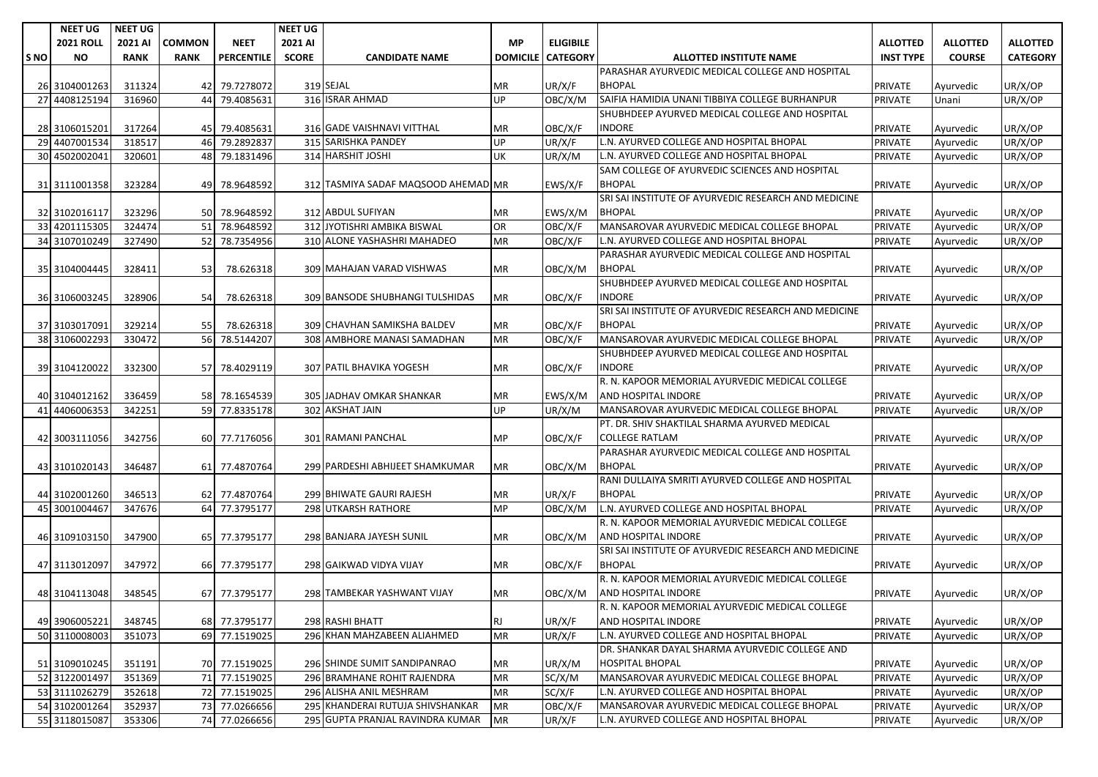|      | <b>NEET UG</b>   | <b>NEET UG</b> |               |               | <b>NEET UG</b> |                                     |           |                            |                                                      |                  |                 |                 |
|------|------------------|----------------|---------------|---------------|----------------|-------------------------------------|-----------|----------------------------|------------------------------------------------------|------------------|-----------------|-----------------|
|      | <b>2021 ROLL</b> | 2021 AI        | <b>COMMON</b> | <b>NEET</b>   | 2021 AI        |                                     | <b>MP</b> | <b>ELIGIBILE</b>           |                                                      | <b>ALLOTTED</b>  | <b>ALLOTTED</b> | <b>ALLOTTED</b> |
| S NO | <b>NO</b>        | <b>RANK</b>    | <b>RANK</b>   | PERCENTILE    | <b>SCORE</b>   | <b>CANDIDATE NAME</b>               |           | <b>DOMICILE   CATEGORY</b> | <b>ALLOTTED INSTITUTE NAME</b>                       | <b>INST TYPE</b> | <b>COURSE</b>   | <b>CATEGORY</b> |
|      |                  |                |               |               |                |                                     |           |                            | PARASHAR AYURVEDIC MEDICAL COLLEGE AND HOSPITAL      |                  |                 |                 |
|      | 26 3104001263    | 311324         |               | 42 79.7278072 |                | 319 SEJAL                           | ΜR        | UR/X/F                     | <b>BHOPAL</b>                                        | PRIVATE          | Ayurvedic       | UR/X/OP         |
|      | 27 4408125194    | 316960         | 44            | 79.4085631    |                | 316 ISRAR AHMAD                     | UP        | OBC/X/M                    | SAIFIA HAMIDIA UNANI TIBBIYA COLLEGE BURHANPUR       | <b>PRIVATE</b>   | Unani           | UR/X/OP         |
|      |                  |                |               |               |                |                                     |           |                            | SHUBHDEEP AYURVED MEDICAL COLLEGE AND HOSPITAL       |                  |                 |                 |
|      | 28 3106015201    | 317264         |               | 45 79.4085631 |                | 316 GADE VAISHNAVI VITTHAL          | ΜR        | OBC/X/F                    | <b>INDORE</b>                                        | <b>PRIVATE</b>   | Ayurvedic       | UR/X/OP         |
|      | 29 4407001534    | 318517         |               | 46 79.2892837 |                | 315 SARISHKA PANDEY                 | UP        | UR/X/F                     | L.N. AYURVED COLLEGE AND HOSPITAL BHOPAL             | PRIVATE          | Ayurvedic       | UR/X/OP         |
|      | 30 4502002041    | 320601         |               | 48 79.1831496 |                | 314 HARSHIT JOSHI                   | UК        | UR/X/M                     | L.N. AYURVED COLLEGE AND HOSPITAL BHOPAL             | <b>PRIVATE</b>   | Ayurvedic       | UR/X/OP         |
|      |                  |                |               |               |                |                                     |           |                            | SAM COLLEGE OF AYURVEDIC SCIENCES AND HOSPITAL       |                  |                 |                 |
|      | 31 3111001358    | 323284         |               | 49 78.9648592 |                | 312 TASMIYA SADAF MAQSOOD AHEMAD MR |           | EWS/X/F                    | <b>BHOPAL</b>                                        | <b>PRIVATE</b>   | Ayurvedic       | UR/X/OP         |
|      |                  |                |               |               |                |                                     |           |                            | SRI SAI INSTITUTE OF AYURVEDIC RESEARCH AND MEDICINE |                  |                 |                 |
|      | 32 3102016117    | 323296         |               | 50 78.9648592 |                | 312 ABDUL SUFIYAN                   | ΜR        | EWS/X/M                    | <b>BHOPAL</b>                                        | <b>PRIVATE</b>   | Ayurvedic       | UR/X/OP         |
|      | 33 4201115305    | 324474         |               | 51 78.9648592 |                | 312 JYOTISHRI AMBIKA BISWAL         | OR        | OBC/X/F                    | MANSAROVAR AYURVEDIC MEDICAL COLLEGE BHOPAL          | <b>PRIVATE</b>   | Ayurvedic       | UR/X/OP         |
|      | 34 3107010249    | 327490         |               | 52 78.7354956 |                | 310 ALONE YASHASHRI MAHADEO         | ΜR        | OBC/X/F                    | L.N. AYURVED COLLEGE AND HOSPITAL BHOPAL             | <b>PRIVATE</b>   | Ayurvedic       | UR/X/OP         |
|      |                  |                |               |               |                |                                     |           |                            | PARASHAR AYURVEDIC MEDICAL COLLEGE AND HOSPITAL      |                  |                 |                 |
|      | 35 3104004445    | 328411         | 53            | 78.626318     |                | 309 MAHAJAN VARAD VISHWAS           | ΜR        | OBC/X/M                    | <b>BHOPAL</b>                                        | <b>PRIVATE</b>   | Ayurvedic       | UR/X/OP         |
|      |                  |                |               |               |                |                                     |           |                            | SHUBHDEEP AYURVED MEDICAL COLLEGE AND HOSPITAL       |                  |                 |                 |
|      | 36 3106003245    | 328906         | 54            | 78.626318     |                | 309 BANSODE SHUBHANGI TULSHIDAS     | ΜR        | OBC/X/F                    | <b>INDORE</b>                                        | <b>PRIVATE</b>   | Ayurvedic       | UR/X/OP         |
|      |                  |                |               |               |                |                                     |           |                            | SRI SAI INSTITUTE OF AYURVEDIC RESEARCH AND MEDICINE |                  |                 |                 |
|      | 37 3103017091    | 329214         | 55            | 78.626318     |                | 309 CHAVHAN SAMIKSHA BALDEV         | ΜR        | OBC/X/F                    | <b>BHOPAL</b>                                        | <b>PRIVATE</b>   | Ayurvedic       | UR/X/OP         |
|      | 38 3106002293    | 330472         |               | 56 78.5144207 |                | 308 AMBHORE MANASI SAMADHAN         | MR        | OBC/X/F                    | MANSAROVAR AYURVEDIC MEDICAL COLLEGE BHOPAL          | <b>PRIVATE</b>   | Ayurvedic       | UR/X/OP         |
|      |                  |                |               |               |                |                                     |           |                            | SHUBHDEEP AYURVED MEDICAL COLLEGE AND HOSPITAL       |                  |                 |                 |
|      | 39 3104120022    | 332300         |               | 57 78.4029119 |                | 307 PATIL BHAVIKA YOGESH            | ΜR        | OBC/X/F                    | <b>INDORE</b>                                        | <b>PRIVATE</b>   | Ayurvedic       | UR/X/OP         |
|      |                  |                |               |               |                |                                     |           |                            | R. N. KAPOOR MEMORIAL AYURVEDIC MEDICAL COLLEGE      |                  |                 |                 |
|      | 40 3104012162    | 336459         |               | 58 78.1654539 |                | 305 JADHAV OMKAR SHANKAR            | ΜR        | EWS/X/M                    | AND HOSPITAL INDORE                                  | <b>PRIVATE</b>   | Ayurvedic       | UR/X/OP         |
|      | 41 4406006353    | 342251         |               | 59 77.8335178 |                | 302 AKSHAT JAIN                     | UP        | UR/X/M                     | MANSAROVAR AYURVEDIC MEDICAL COLLEGE BHOPAL          | <b>PRIVATE</b>   | Ayurvedic       | UR/X/OP         |
|      |                  |                |               |               |                |                                     |           |                            | PT. DR. SHIV SHAKTILAL SHARMA AYURVED MEDICAL        |                  |                 |                 |
|      | 42 3003111056    | 342756         |               | 60 77.7176056 |                | 301 RAMANI PANCHAL                  | ΜP        | OBC/X/F                    | <b>COLLEGE RATLAM</b>                                | <b>PRIVATE</b>   | Ayurvedic       | UR/X/OP         |
|      |                  |                |               |               |                |                                     |           |                            | PARASHAR AYURVEDIC MEDICAL COLLEGE AND HOSPITAL      |                  |                 |                 |
|      | 43 3101020143    | 346487         |               | 61 77.4870764 |                | 299 PARDESHI ABHIJEET SHAMKUMAR     | ΜR        | OBC/X/M                    | <b>BHOPAL</b>                                        | <b>PRIVATE</b>   | Ayurvedic       | UR/X/OP         |
|      |                  |                |               |               |                |                                     |           |                            | RANI DULLAIYA SMRITI AYURVED COLLEGE AND HOSPITAL    |                  |                 |                 |
|      | 44 3102001260    | 346513         |               | 62 77.4870764 |                | 299 BHIWATE GAURI RAJESH            | ΜR        | UR/X/F                     | <b>BHOPAL</b>                                        | <b>PRIVATE</b>   | Ayurvedic       | UR/X/OP         |
|      | 45 3001004467    | 347676         |               | 64 77.3795177 |                | <b>298 UTKARSH RATHORE</b>          | MP        | OBC/X/M                    | L.N. AYURVED COLLEGE AND HOSPITAL BHOPAL             | <b>PRIVATE</b>   | Ayurvedic       | UR/X/OP         |
|      |                  |                |               |               |                |                                     |           |                            | R. N. KAPOOR MEMORIAL AYURVEDIC MEDICAL COLLEGE      |                  |                 |                 |
|      | 46 3109103150    | 347900         |               | 65 77.3795177 |                | 298 BANJARA JAYESH SUNIL            | ΜR        | OBC/X/M                    | AND HOSPITAL INDORE                                  | <b>PRIVATE</b>   | Ayurvedic       | UR/X/OP         |
|      |                  |                |               |               |                |                                     |           |                            | SRI SAI INSTITUTE OF AYURVEDIC RESEARCH AND MEDICINE |                  |                 |                 |
|      | 47 3113012097    | 347972         |               | 66 77.3795177 |                | 298 GAIKWAD VIDYA VIJAY             | ΜR        | OBC/X/F                    | <b>BHOPAL</b>                                        | <b>PRIVATE</b>   | Ayurvedic       | UR/X/OP         |
|      |                  |                |               |               |                |                                     |           |                            | R. N. KAPOOR MEMORIAL AYURVEDIC MEDICAL COLLEGE      |                  |                 |                 |
|      | 48 3104113048    | 348545         |               | 67 77.3795177 |                | 298 TAMBEKAR YASHWANT VIJAY         | ΜR        | OBC/X/M                    | AND HOSPITAL INDORE                                  | <b>PRIVATE</b>   | Ayurvedic       | UR/X/OP         |
|      |                  |                |               |               |                |                                     |           |                            | R. N. KAPOOR MEMORIAL AYURVEDIC MEDICAL COLLEGE      |                  |                 |                 |
|      | 49 3906005221    | 348745         |               | 68 77.3795177 |                | 298 RASHI BHATT                     | RJ.       | UR/X/F                     | AND HOSPITAL INDORE                                  | <b>PRIVATE</b>   | Ayurvedic       | UR/X/OP         |
|      | 50 3110008003    | 351073         |               | 69 77.1519025 |                | 296 KHAN MAHZABEEN ALIAHMED         | MR        | UR/X/F                     | L.N. AYURVED COLLEGE AND HOSPITAL BHOPAL             | <b>PRIVATE</b>   | Ayurvedic       | UR/X/OP         |
|      |                  |                |               |               |                |                                     |           |                            | DR. SHANKAR DAYAL SHARMA AYURVEDIC COLLEGE AND       |                  |                 |                 |
|      | 51 3109010245    | 351191         |               | 70 77.1519025 |                | 296 SHINDE SUMIT SANDIPANRAO        | MR        | UR/X/M                     | <b>HOSPITAL BHOPAL</b>                               | PRIVATE          | Ayurvedic       | UR/X/OP         |
|      | 52 3122001497    | 351369         |               | 71 77.1519025 |                | 296 BRAMHANE ROHIT RAJENDRA         | MR        | SC/X/M                     | MANSAROVAR AYURVEDIC MEDICAL COLLEGE BHOPAL          | <b>PRIVATE</b>   | Ayurvedic       | UR/X/OP         |
|      | 53 3111026279    | 352618         |               | 72 77.1519025 |                | 296 ALISHA ANIL MESHRAM             | MR        | SC/X/F                     | L.N. AYURVED COLLEGE AND HOSPITAL BHOPAL             | <b>PRIVATE</b>   | Ayurvedic       | UR/X/OP         |
|      | 54 3102001264    | 352937         |               | 73 77.0266656 |                | 295 KHANDERAI RUTUJA SHIVSHANKAR    | MR        | OBC/X/F                    | MANSAROVAR AYURVEDIC MEDICAL COLLEGE BHOPAL          | <b>PRIVATE</b>   | Ayurvedic       | UR/X/OP         |
|      | 55 3118015087    | 353306         |               | 74 77.0266656 |                | 295 GUPTA PRANJAL RAVINDRA KUMAR    | <b>MR</b> | UR/X/F                     | L.N. AYURVED COLLEGE AND HOSPITAL BHOPAL             | <b>PRIVATE</b>   | Ayurvedic       | UR/X/OP         |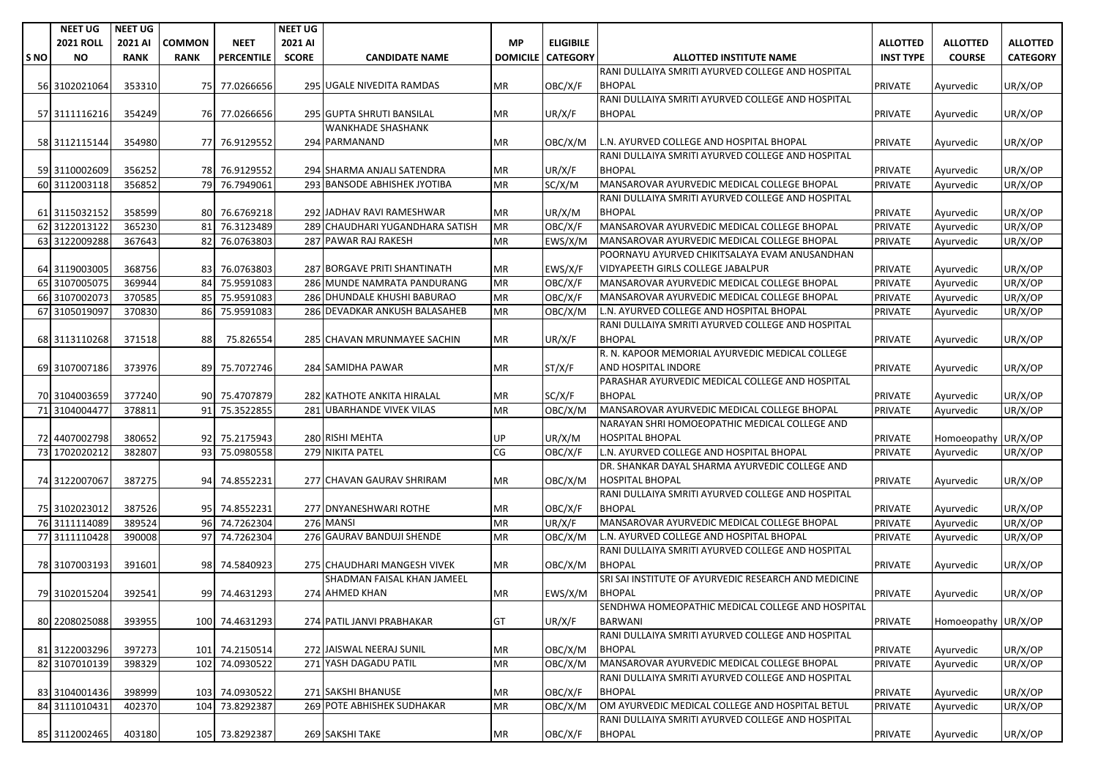|     | <b>NEET UG</b>   | <b>NEET UG</b> |               |                   | <b>NEET UG</b> |                                 |                 |                  |                                                      |                  |                     |                      |
|-----|------------------|----------------|---------------|-------------------|----------------|---------------------------------|-----------------|------------------|------------------------------------------------------|------------------|---------------------|----------------------|
|     | <b>2021 ROLL</b> | 2021 AI        | <b>COMMON</b> | <b>NEET</b>       | 2021 AI        |                                 | <b>MP</b>       | <b>ELIGIBILE</b> |                                                      | <b>ALLOTTED</b>  | <b>ALLOTTED</b>     | <b>ALLOTTED</b>      |
| SNO | <b>NO</b>        | <b>RANK</b>    | <b>RANK</b>   | <b>PERCENTILE</b> | <b>SCORE</b>   | <b>CANDIDATE NAME</b>           | <b>DOMICILE</b> | <b>CATEGORY</b>  | <b>ALLOTTED INSTITUTE NAME</b>                       | <b>INST TYPE</b> | <b>COURSE</b>       | <b>CATEGORY</b>      |
|     |                  |                |               |                   |                |                                 |                 |                  | RANI DULLAIYA SMRITI AYURVED COLLEGE AND HOSPITAL    |                  |                     |                      |
|     | 56 3102021064    | 353310         |               | 75 77.0266656     |                | 295 UGALE NIVEDITA RAMDAS       | МR              | OBC/X/F          | <b>BHOPAL</b>                                        | <b>PRIVATE</b>   | Ayurvedic           | UR/X/OP              |
|     |                  |                |               |                   |                |                                 |                 |                  | RANI DULLAIYA SMRITI AYURVED COLLEGE AND HOSPITAL    |                  |                     |                      |
|     | 57 3111116216    | 354249         |               | 76 77.0266656     |                | 295 GUPTA SHRUTI BANSILAL       | ΜR              | UR/X/F           | <b>BHOPAL</b>                                        | <b>PRIVATE</b>   | Ayurvedic           | UR/X/OP              |
|     |                  |                |               |                   |                | <b>WANKHADE SHASHANK</b>        |                 |                  |                                                      |                  |                     |                      |
|     | 58 3112115144    | 354980         |               | 77 76.9129552     |                | 294 PARMANAND                   | MR              | OBC/X/M          | L.N. AYURVED COLLEGE AND HOSPITAL BHOPAL             | <b>PRIVATE</b>   | Ayurvedic           | UR/X/OP              |
|     |                  |                |               |                   |                |                                 |                 |                  | RANI DULLAIYA SMRITI AYURVED COLLEGE AND HOSPITAL    |                  |                     |                      |
|     | 59 3110002609    | 356252         |               | 78 76.9129552     |                | 294 SHARMA ANJALI SATENDRA      | ΜR              | UR/X/F           | <b>BHOPAL</b>                                        | <b>PRIVATE</b>   | Ayurvedic           | UR/X/OP              |
|     | 60 3112003118    | 356852         |               | 79 76.7949061     |                | 293 BANSODE ABHISHEK JYOTIBA    | ΜR              | SC/X/M           | MANSAROVAR AYURVEDIC MEDICAL COLLEGE BHOPAL          | PRIVATE          | Ayurvedic           | UR/X/OP              |
|     |                  |                |               |                   |                |                                 |                 |                  | RANI DULLAIYA SMRITI AYURVED COLLEGE AND HOSPITAL    |                  |                     |                      |
|     | 61 3115032152    | 358599         |               | 80 76.6769218     |                | 292 JADHAV RAVI RAMESHWAR       | МR              | UR/X/M           | <b>BHOPAL</b>                                        | <b>PRIVATE</b>   | Ayurvedic           | UR/X/OP              |
|     | 62 3122013122    | 365230         | 81            | 76.3123489        |                | 289 CHAUDHARI YUGANDHARA SATISH | MR              | OBC/X/F          | MANSAROVAR AYURVEDIC MEDICAL COLLEGE BHOPAL          | PRIVATE          | Ayurvedic           | UR/X/OP              |
|     | 63 3122009288    | 367643         | 82            | 76.0763803        |                | 287 PAWAR RAJ RAKESH            | MR              | EWS/X/M          | MANSAROVAR AYURVEDIC MEDICAL COLLEGE BHOPAL          | PRIVATE          | Ayurvedic           | UR/X/OP              |
|     |                  |                |               |                   |                |                                 |                 |                  | POORNAYU AYURVED CHIKITSALAYA EVAM ANUSANDHAN        |                  |                     |                      |
|     | 64 3119003005    | 368756         |               | 83 76.0763803     |                | 287 BORGAVE PRITI SHANTINATH    | ΜR              | EWS/X/F          | VIDYAPEETH GIRLS COLLEGE JABALPUR                    | PRIVATE          | Ayurvedic           | UR/X/OP              |
|     | 65 3107005075    | 369944         | 84            | 75.9591083        |                | 286 MUNDE NAMRATA PANDURANG     | ΜR              | OBC/X/F          | MANSAROVAR AYURVEDIC MEDICAL COLLEGE BHOPAL          | <b>PRIVATE</b>   | Ayurvedic           | UR/X/OP              |
|     | 66 3107002073    | 370585         | 85            | 75.9591083        |                | 286 DHUNDALE KHUSHI BABURAO     | MR              | OBC/X/F          | MANSAROVAR AYURVEDIC MEDICAL COLLEGE BHOPAL          | PRIVATE          | Ayurvedic           | UR/X/OP              |
|     | 67 3105019097    | 370830         | 86            | 75.9591083        |                | 286 DEVADKAR ANKUSH BALASAHEB   | ΜR              | OBC/X/M          | L.N. AYURVED COLLEGE AND HOSPITAL BHOPAL             | PRIVATE          | Ayurvedic           | UR/X/OP              |
|     |                  |                |               |                   |                |                                 |                 |                  | RANI DULLAIYA SMRITI AYURVED COLLEGE AND HOSPITAL    |                  |                     |                      |
|     | 68 3113110268    | 371518         | 88            | 75.826554         |                | 285 CHAVAN MRUNMAYEE SACHIN     | MR              | UR/X/F           | <b>BHOPAL</b>                                        | <b>PRIVATE</b>   | Ayurvedic           | UR/X/OP              |
|     |                  |                |               |                   |                |                                 |                 |                  | R. N. KAPOOR MEMORIAL AYURVEDIC MEDICAL COLLEGE      |                  |                     |                      |
|     | 69 3107007186    | 373976         |               | 89 75.7072746     |                | 284 SAMIDHA PAWAR               | МR              | ST/X/F           | AND HOSPITAL INDORE                                  | <b>PRIVATE</b>   | Ayurvedic           | UR/X/OP              |
|     |                  |                |               |                   |                |                                 |                 |                  | PARASHAR AYURVEDIC MEDICAL COLLEGE AND HOSPITAL      |                  |                     |                      |
|     | 70 3104003659    | 377240         |               | 90 75.4707879     |                | 282 KATHOTE ANKITA HIRALAL      | ΜR              | SC/X/F           | <b>BHOPAL</b>                                        | PRIVATE          | Ayurvedic           | UR/X/OP              |
|     | 71 3104004477    | 378811         |               | 91 75.3522855     |                | 281 UBARHANDE VIVEK VILAS       | <b>MR</b>       | OBC/X/M          | MANSAROVAR AYURVEDIC MEDICAL COLLEGE BHOPAL          | <b>PRIVATE</b>   | Ayurvedic           | $\overline{UR}/X/OP$ |
|     |                  |                |               |                   |                |                                 |                 |                  | NARAYAN SHRI HOMOEOPATHIC MEDICAL COLLEGE AND        |                  |                     |                      |
|     | 72 4407002798    | 380652         |               | 92 75.2175943     |                | 280 RISHI MEHTA                 | UP              | UR/X/M           | HOSPITAL BHOPAL                                      | <b>PRIVATE</b>   | Homoeopathy         | UR/X/OP              |
|     | 73 1702020212    | 382807         |               | 93 75.0980558     |                | 279 NIKITA PATEL                | CG              | OBC/X/F          | L.N. AYURVED COLLEGE AND HOSPITAL BHOPAL             | PRIVATE          | Ayurvedic           | UR/X/OP              |
|     |                  |                |               |                   |                |                                 |                 |                  | DR. SHANKAR DAYAL SHARMA AYURVEDIC COLLEGE AND       |                  |                     |                      |
|     | 74 3122007067    | 387275         |               | 94 74.8552231     |                | 277 CHAVAN GAURAV SHRIRAM       | ΜR              | OBC/X/M          | <b>HOSPITAL BHOPAL</b>                               | <b>PRIVATE</b>   | Ayurvedic           | UR/X/OP              |
|     |                  |                |               |                   |                |                                 |                 |                  | RANI DULLAIYA SMRITI AYURVED COLLEGE AND HOSPITAL    |                  |                     |                      |
|     | 75 3102023012    | 387526         |               | 95 74.8552231     |                | 277 DNYANESHWARI ROTHE          | МR              | OBC/X/F          | <b>BHOPAL</b>                                        | <b>PRIVATE</b>   | Ayurvedic           | UR/X/OP              |
|     | 76 3111114089    | 389524         |               | 96 74.7262304     |                | 276 MANSI                       | ΜR              | UR/X/F           | MANSAROVAR AYURVEDIC MEDICAL COLLEGE BHOPAL          | <b>PRIVATE</b>   | Ayurvedic           | UR/X/OP              |
|     | 77 3111110428    | 390008         | 97            | 74.7262304        |                | 276 GAURAV BANDUJI SHENDE       | MR              | OBC/X/M          | L.N. AYURVED COLLEGE AND HOSPITAL BHOPAL             | <b>PRIVATE</b>   | Ayurvedic           | UR/X/OP              |
|     |                  |                |               |                   |                |                                 |                 |                  | RANI DULLAIYA SMRITI AYURVED COLLEGE AND HOSPITAL    |                  |                     |                      |
|     | 78 3107003193    | 391601         |               | 98 74.5840923     |                | 275 CHAUDHARI MANGESH VIVEK     | МR              | OBC/X/M          | <b>BHOPAL</b>                                        | PRIVATE          | Ayurvedic           | UR/X/OP              |
|     |                  |                |               |                   |                | SHADMAN FAISAL KHAN JAMEEL      |                 |                  | SRI SAI INSTITUTE OF AYURVEDIC RESEARCH AND MEDICINE |                  |                     |                      |
|     | 79 3102015204    | 392541         |               | 99 74.4631293     |                | 274 AHMED KHAN                  | ΜR              | EWS/X/M          | <b>BHOPAL</b>                                        | PRIVATE          | Ayurvedic           | UR/X/OP              |
|     |                  |                |               |                   |                |                                 |                 |                  | SENDHWA HOMEOPATHIC MEDICAL COLLEGE AND HOSPITAL     |                  |                     |                      |
|     | 80 2208025088    | 393955         |               | 100 74.4631293    |                | 274 PATIL JANVI PRABHAKAR       | GT              | UR/X/F           | BARWANI                                              | <b>PRIVATE</b>   | Homoeopathy UR/X/OP |                      |
|     |                  |                |               |                   |                |                                 |                 |                  | RANI DULLAIYA SMRITI AYURVED COLLEGE AND HOSPITAL    |                  |                     |                      |
|     | 81 3122003296    | 397273         |               | 101 74.2150514    |                | 272 JAISWAL NEERAJ SUNIL        | МR              | OBC/X/M          | <b>BHOPAL</b>                                        | <b>PRIVATE</b>   | Ayurvedic           | UR/X/OP              |
|     | 82 3107010139    | 398329         |               | 102 74.0930522    |                | 271 YASH DAGADU PATIL           | ΜR              | OBC/X/M          | MANSAROVAR AYURVEDIC MEDICAL COLLEGE BHOPAL          | PRIVATE          | Ayurvedic           | UR/X/OP              |
|     |                  |                |               |                   |                |                                 |                 |                  | RANI DULLAIYA SMRITI AYURVED COLLEGE AND HOSPITAL    |                  |                     |                      |
|     | 83 3104001436    | 398999         |               | 103 74.0930522    |                | 271 SAKSHI BHANUSE              | МR              | OBC/X/F          | <b>BHOPAL</b>                                        | <b>PRIVATE</b>   | Ayurvedic           | UR/X/OP              |
|     | 84 3111010431    | 402370         |               | 104 73.8292387    |                | 269 POTE ABHISHEK SUDHAKAR      | ΜR              | OBC/X/M          | OM AYURVEDIC MEDICAL COLLEGE AND HOSPITAL BETUL      | PRIVATE          | Ayurvedic           | UR/X/OP              |
|     |                  |                |               |                   |                |                                 |                 |                  | RANI DULLAIYA SMRITI AYURVED COLLEGE AND HOSPITAL    |                  |                     |                      |
|     | 85 3112002465    | 403180         |               | 105 73.8292387    |                | 269 SAKSHI TAKE                 | MR              | OBC/X/F          | <b>BHOPAL</b>                                        | <b>PRIVATE</b>   | Ayurvedic           | UR/X/OP              |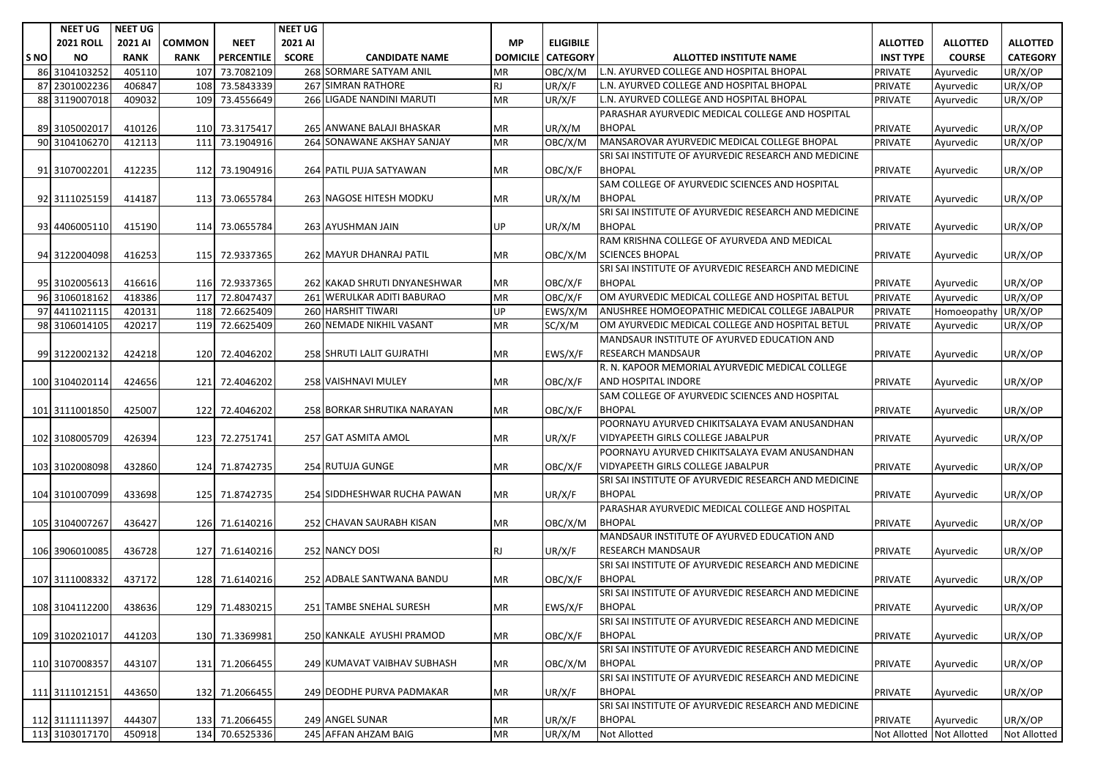| <b>2021 ROLL</b><br><b>COMMON</b><br><b>NEET</b><br>2021 AI<br><b>ELIGIBILE</b><br><b>ALLOTTED</b><br>2021 AI<br><b>MP</b><br><b>ALLOTTED</b><br><b>ALLOTTED</b><br><b>PERCENTILE</b><br><b>SCORE</b><br><b>CATEGORY</b><br><b>INST TYPE</b><br><b>COURSE</b><br><b>CATEGORY</b><br>S <sub>NO</sub><br><b>NO</b><br><b>RANK</b><br><b>RANK</b><br><b>CANDIDATE NAME</b><br><b>DOMICILE</b><br><b>ALLOTTED INSTITUTE NAME</b><br>268 SORMARE SATYAM ANIL<br>3104103252<br>405110<br>107<br>73.7082109<br>OBC/X/M<br>L.N. AYURVED COLLEGE AND HOSPITAL BHOPAL<br>PRIVATE<br>UR/X/OP<br>86<br><b>MR</b><br>Ayurvedic<br>2301002236<br>406847<br>108 73.5843339<br>267 SIMRAN RATHORE<br>UR/X/F<br>L.N. AYURVED COLLEGE AND HOSPITAL BHOPAL<br>UR/X/OP<br>87<br><b>RJ</b><br><b>PRIVATE</b><br>Ayurvedic<br>109<br>266 LIGADE NANDINI MARUTI<br>L.N. AYURVED COLLEGE AND HOSPITAL BHOPAL<br>88 3119007018<br>409032<br>73.4556649<br><b>MR</b><br>UR/X/F<br>UR/X/OP<br>PRIVATE<br>Ayurvedic<br>PARASHAR AYURVEDIC MEDICAL COLLEGE AND HOSPITAL<br><b>BHOPAL</b><br>UR/X/OP<br>265 ANWANE BALAJI BHASKAR<br>UR/X/M<br>89 3105002017<br>410126<br>110 73.3175417<br><b>MR</b><br><b>PRIVATE</b><br>Ayurvedic<br>264 SONAWANE AKSHAY SANJAY<br>OBC/X/M<br>UR/X/OP<br>90 3104106270<br>412113<br>111<br>73.1904916<br><b>MR</b><br>MANSAROVAR AYURVEDIC MEDICAL COLLEGE BHOPAL<br>PRIVATE<br>Ayurvedic<br>SRI SAI INSTITUTE OF AYURVEDIC RESEARCH AND MEDICINE<br>412235<br>264 PATIL PUJA SATYAWAN<br>OBC/X/F<br><b>BHOPAL</b><br>112 73.1904916<br><b>MR</b><br>PRIVATE<br>UR/X/OP<br>91 3107002201<br>Ayurvedic<br>SAM COLLEGE OF AYURVEDIC SCIENCES AND HOSPITAL<br>263 NAGOSE HITESH MODKU<br>UR/X/M<br><b>BHOPAL</b><br>92 3111025159<br>414187<br>113 73.0655784<br><b>MR</b><br>PRIVATE<br>UR/X/OP<br>Ayurvedic<br>SRI SAI INSTITUTE OF AYURVEDIC RESEARCH AND MEDICINE<br><b>UP</b><br><b>BHOPAL</b><br>93 4406005110<br>415190<br>114 73.0655784<br>263 AYUSHMAN JAIN<br>UR/X/M<br>PRIVATE<br>UR/X/OP<br>Ayurvedic<br>RAM KRISHNA COLLEGE OF AYURVEDA AND MEDICAL<br>262 MAYUR DHANRAJ PATIL<br><b>SCIENCES BHOPAL</b><br>416253<br>115 72.9337365<br><b>MR</b><br>OBC/X/M<br>UR/X/OP<br>94 3122004098<br>PRIVATE<br>Ayurvedic<br>SRI SAI INSTITUTE OF AYURVEDIC RESEARCH AND MEDICINE<br>OBC/X/F<br><b>BHOPAL</b><br>UR/X/OP<br>95 3102005613<br>416616<br>116 72.9337365<br>262 KAKAD SHRUTI DNYANESHWAR<br><b>MR</b><br>PRIVATE<br>Ayurvedic<br>OM AYURVEDIC MEDICAL COLLEGE AND HOSPITAL BETUL<br>3106018162<br>418386<br>117 72.8047437<br>261 WERULKAR ADITI BABURAO<br><b>MR</b><br>OBC/X/F<br>PRIVATE<br>UR/X/OP<br>96I<br>Ayurvedic<br>260 HARSHIT TIWARI<br>97 4411021115<br>420131<br>118 72.6625409<br><b>UP</b><br>EWS/X/M<br>ANUSHREE HOMOEOPATHIC MEDICAL COLLEGE JABALPUR<br>UR/X/OP<br><b>PRIVATE</b><br>Homoeopathy<br>OM AYURVEDIC MEDICAL COLLEGE AND HOSPITAL BETUL<br>98 3106014105<br>420217<br>119 72.6625409<br>260 NEMADE NIKHIL VASANT<br><b>MR</b><br>SC/X/M<br>PRIVATE<br>UR/X/OP<br>Ayurvedic<br>MANDSAUR INSTITUTE OF AYURVED EDUCATION AND<br>258 SHRUTI LALIT GUJRATHI<br>EWS/X/F<br><b>RESEARCH MANDSAUR</b><br>UR/X/OP<br>99 3122002132<br>424218<br>120 72.4046202<br><b>MR</b><br>PRIVATE<br>Ayurvedic<br>R. N. KAPOOR MEMORIAL AYURVEDIC MEDICAL COLLEGE<br>424656<br>AND HOSPITAL INDORE<br>100 3104020114<br>121 72.4046202<br>258 VAISHNAVI MULEY<br><b>MR</b><br>OBC/X/F<br><b>PRIVATE</b><br>UR/X/OP<br>Ayurvedic<br>SAM COLLEGE OF AYURVEDIC SCIENCES AND HOSPITAL<br><b>BHOPAL</b><br>101 3111001850<br>425007<br>122 72.4046202<br>258 BORKAR SHRUTIKA NARAYAN<br><b>MR</b><br>OBC/X/F<br>PRIVATE<br>UR/X/OP<br>Ayurvedic<br>POORNAYU AYURVED CHIKITSALAYA EVAM ANUSANDHAN<br>426394<br>257 GAT ASMITA AMOL<br>VIDYAPEETH GIRLS COLLEGE JABALPUR<br>102 3108005709<br>123 72.2751741<br><b>MR</b><br>UR/X/F<br>PRIVATE<br>UR/X/OP<br>Ayurvedic<br>POORNAYU AYURVED CHIKITSALAYA EVAM ANUSANDHAN<br>VIDYAPEETH GIRLS COLLEGE JABALPUR<br>432860<br>124 71.8742735<br>254 RUTUJA GUNGE<br><b>MR</b><br>OBC/X/F<br>PRIVATE<br>UR/X/OP<br>103 3102008098<br>Ayurvedic<br>SRI SAI INSTITUTE OF AYURVEDIC RESEARCH AND MEDICINE<br>UR/X/F<br><b>BHOPAL</b><br>104 3101007099<br>433698<br>125 71.8742735<br>254 SIDDHESHWAR RUCHA PAWAN<br><b>MR</b><br>PRIVATE<br>UR/X/OP<br>Ayurvedic<br>PARASHAR AYURVEDIC MEDICAL COLLEGE AND HOSPITAL<br><b>BHOPAL</b><br>105 3104007267<br>436427<br>126 71.6140216<br>252 CHAVAN SAURABH KISAN<br><b>MR</b><br>OBC/X/M<br>PRIVATE<br>UR/X/OP<br>Ayurvedic<br>MANDSAUR INSTITUTE OF AYURVED EDUCATION AND<br><b>RESEARCH MANDSAUR</b><br>106 3906010085<br>436728<br>127 71.6140216<br>252 NANCY DOSI<br><b>RJ</b><br>UR/X/F<br>PRIVATE<br>UR/X/OP<br>Ayurvedic<br>SRI SAI INSTITUTE OF AYURVEDIC RESEARCH AND MEDICINE<br>252 ADBALE SANTWANA BANDU<br>OBC/X/F<br><b>BHOPAL</b><br>107 3111008332<br>437172<br>128 71.6140216<br>PRIVATE<br>UR/X/OP<br>MR<br>Ayurvedic<br>SRI SAI INSTITUTE OF AYURVEDIC RESEARCH AND MEDICINE<br>251 TAMBE SNEHAL SURESH<br>EWS/X/F<br><b>BHOPAL</b><br>438636<br>129 71.4830215<br><b>MR</b><br>PRIVATE<br>UR/X/OP<br>108 3104112200<br>Ayurvedic<br>SRI SAI INSTITUTE OF AYURVEDIC RESEARCH AND MEDICINE<br>109 3102021017<br>130 71.3369981<br>250 KANKALE AYUSHI PRAMOD<br>OBC/X/F<br><b>BHOPAL</b><br>PRIVATE<br>UR/X/OP<br>441203<br><b>MR</b><br>Ayurvedic<br>SRI SAI INSTITUTE OF AYURVEDIC RESEARCH AND MEDICINE<br><b>BHOPAL</b><br>110 3107008357<br>443107<br>131 71.2066455<br>249 KUMAVAT VAIBHAV SUBHASH<br><b>MR</b><br>OBC/X/M<br>PRIVATE<br>UR/X/OP<br>Ayurvedic<br>SRI SAI INSTITUTE OF AYURVEDIC RESEARCH AND MEDICINE<br><b>BHOPAL</b><br>249 DEODHE PURVA PADMAKAR<br>443650<br>132 71.2066455<br><b>MR</b><br>UR/X/F<br><b>PRIVATE</b><br>UR/X/OP<br>111 3111012151<br>Ayurvedic<br>SRI SAI INSTITUTE OF AYURVEDIC RESEARCH AND MEDICINE<br>112 3111111397<br>444307<br>133 71.2066455<br>249 ANGEL SUNAR<br>UR/X/F<br><b>BHOPAL</b><br>UR/X/OP<br>MR<br>PRIVATE<br>Ayurvedic<br>113 3103017170<br>245 AFFAN AHZAM BAIG<br>450918<br>134 70.6525336<br>MR<br>Not Allotted Not Allotted<br>UR/X/M<br>Not Allotted | <b>NEET UG</b> | <b>NEET UG</b> |  | <b>NEET UG</b> |  |  |  |              |
|-----------------------------------------------------------------------------------------------------------------------------------------------------------------------------------------------------------------------------------------------------------------------------------------------------------------------------------------------------------------------------------------------------------------------------------------------------------------------------------------------------------------------------------------------------------------------------------------------------------------------------------------------------------------------------------------------------------------------------------------------------------------------------------------------------------------------------------------------------------------------------------------------------------------------------------------------------------------------------------------------------------------------------------------------------------------------------------------------------------------------------------------------------------------------------------------------------------------------------------------------------------------------------------------------------------------------------------------------------------------------------------------------------------------------------------------------------------------------------------------------------------------------------------------------------------------------------------------------------------------------------------------------------------------------------------------------------------------------------------------------------------------------------------------------------------------------------------------------------------------------------------------------------------------------------------------------------------------------------------------------------------------------------------------------------------------------------------------------------------------------------------------------------------------------------------------------------------------------------------------------------------------------------------------------------------------------------------------------------------------------------------------------------------------------------------------------------------------------------------------------------------------------------------------------------------------------------------------------------------------------------------------------------------------------------------------------------------------------------------------------------------------------------------------------------------------------------------------------------------------------------------------------------------------------------------------------------------------------------------------------------------------------------------------------------------------------------------------------------------------------------------------------------------------------------------------------------------------------------------------------------------------------------------------------------------------------------------------------------------------------------------------------------------------------------------------------------------------------------------------------------------------------------------------------------------------------------------------------------------------------------------------------------------------------------------------------------------------------------------------------------------------------------------------------------------------------------------------------------------------------------------------------------------------------------------------------------------------------------------------------------------------------------------------------------------------------------------------------------------------------------------------------------------------------------------------------------------------------------------------------------------------------------------------------------------------------------------------------------------------------------------------------------------------------------------------------------------------------------------------------------------------------------------------------------------------------------------------------------------------------------------------------------------------------------------------------------------------------------------------------------------------------------------------------------------------------------------------------------------------------------------------------------------------------------------------------------------------------------------------------------------------------------------------------------------------------------------------------------------------------------------------------------------------------------------------------------------------------------------------------------------------------------------------------------------------------------------------------------------------------------------------------------------------------------------------------------------------------------------------------------------------------------------------------------------------------------------------------------------------------------------------------------------------------------------------------------------------------------------------------------------------------------------------------------------------------------------------------------------------------------------------------------------------------------------------------------------------------------------------------------------------------------------------------------------------------------------------------------------------------------------------------------------|----------------|----------------|--|----------------|--|--|--|--------------|
|                                                                                                                                                                                                                                                                                                                                                                                                                                                                                                                                                                                                                                                                                                                                                                                                                                                                                                                                                                                                                                                                                                                                                                                                                                                                                                                                                                                                                                                                                                                                                                                                                                                                                                                                                                                                                                                                                                                                                                                                                                                                                                                                                                                                                                                                                                                                                                                                                                                                                                                                                                                                                                                                                                                                                                                                                                                                                                                                                                                                                                                                                                                                                                                                                                                                                                                                                                                                                                                                                                                                                                                                                                                                                                                                                                                                                                                                                                                                                                                                                                                                                                                                                                                                                                                                                                                                                                                                                                                                                                                                                                                                                                                                                                                                                                                                                                                                                                                                                                                                                                                                                                                                                                                                                                                                                                                                                                                                                                                                                                                                                                                                                                                                                                                                                                                                                                                                                                                                                                                                                                                                                                                                                           |                |                |  |                |  |  |  |              |
|                                                                                                                                                                                                                                                                                                                                                                                                                                                                                                                                                                                                                                                                                                                                                                                                                                                                                                                                                                                                                                                                                                                                                                                                                                                                                                                                                                                                                                                                                                                                                                                                                                                                                                                                                                                                                                                                                                                                                                                                                                                                                                                                                                                                                                                                                                                                                                                                                                                                                                                                                                                                                                                                                                                                                                                                                                                                                                                                                                                                                                                                                                                                                                                                                                                                                                                                                                                                                                                                                                                                                                                                                                                                                                                                                                                                                                                                                                                                                                                                                                                                                                                                                                                                                                                                                                                                                                                                                                                                                                                                                                                                                                                                                                                                                                                                                                                                                                                                                                                                                                                                                                                                                                                                                                                                                                                                                                                                                                                                                                                                                                                                                                                                                                                                                                                                                                                                                                                                                                                                                                                                                                                                                           |                |                |  |                |  |  |  |              |
|                                                                                                                                                                                                                                                                                                                                                                                                                                                                                                                                                                                                                                                                                                                                                                                                                                                                                                                                                                                                                                                                                                                                                                                                                                                                                                                                                                                                                                                                                                                                                                                                                                                                                                                                                                                                                                                                                                                                                                                                                                                                                                                                                                                                                                                                                                                                                                                                                                                                                                                                                                                                                                                                                                                                                                                                                                                                                                                                                                                                                                                                                                                                                                                                                                                                                                                                                                                                                                                                                                                                                                                                                                                                                                                                                                                                                                                                                                                                                                                                                                                                                                                                                                                                                                                                                                                                                                                                                                                                                                                                                                                                                                                                                                                                                                                                                                                                                                                                                                                                                                                                                                                                                                                                                                                                                                                                                                                                                                                                                                                                                                                                                                                                                                                                                                                                                                                                                                                                                                                                                                                                                                                                                           |                |                |  |                |  |  |  |              |
|                                                                                                                                                                                                                                                                                                                                                                                                                                                                                                                                                                                                                                                                                                                                                                                                                                                                                                                                                                                                                                                                                                                                                                                                                                                                                                                                                                                                                                                                                                                                                                                                                                                                                                                                                                                                                                                                                                                                                                                                                                                                                                                                                                                                                                                                                                                                                                                                                                                                                                                                                                                                                                                                                                                                                                                                                                                                                                                                                                                                                                                                                                                                                                                                                                                                                                                                                                                                                                                                                                                                                                                                                                                                                                                                                                                                                                                                                                                                                                                                                                                                                                                                                                                                                                                                                                                                                                                                                                                                                                                                                                                                                                                                                                                                                                                                                                                                                                                                                                                                                                                                                                                                                                                                                                                                                                                                                                                                                                                                                                                                                                                                                                                                                                                                                                                                                                                                                                                                                                                                                                                                                                                                                           |                |                |  |                |  |  |  |              |
|                                                                                                                                                                                                                                                                                                                                                                                                                                                                                                                                                                                                                                                                                                                                                                                                                                                                                                                                                                                                                                                                                                                                                                                                                                                                                                                                                                                                                                                                                                                                                                                                                                                                                                                                                                                                                                                                                                                                                                                                                                                                                                                                                                                                                                                                                                                                                                                                                                                                                                                                                                                                                                                                                                                                                                                                                                                                                                                                                                                                                                                                                                                                                                                                                                                                                                                                                                                                                                                                                                                                                                                                                                                                                                                                                                                                                                                                                                                                                                                                                                                                                                                                                                                                                                                                                                                                                                                                                                                                                                                                                                                                                                                                                                                                                                                                                                                                                                                                                                                                                                                                                                                                                                                                                                                                                                                                                                                                                                                                                                                                                                                                                                                                                                                                                                                                                                                                                                                                                                                                                                                                                                                                                           |                |                |  |                |  |  |  |              |
|                                                                                                                                                                                                                                                                                                                                                                                                                                                                                                                                                                                                                                                                                                                                                                                                                                                                                                                                                                                                                                                                                                                                                                                                                                                                                                                                                                                                                                                                                                                                                                                                                                                                                                                                                                                                                                                                                                                                                                                                                                                                                                                                                                                                                                                                                                                                                                                                                                                                                                                                                                                                                                                                                                                                                                                                                                                                                                                                                                                                                                                                                                                                                                                                                                                                                                                                                                                                                                                                                                                                                                                                                                                                                                                                                                                                                                                                                                                                                                                                                                                                                                                                                                                                                                                                                                                                                                                                                                                                                                                                                                                                                                                                                                                                                                                                                                                                                                                                                                                                                                                                                                                                                                                                                                                                                                                                                                                                                                                                                                                                                                                                                                                                                                                                                                                                                                                                                                                                                                                                                                                                                                                                                           |                |                |  |                |  |  |  |              |
|                                                                                                                                                                                                                                                                                                                                                                                                                                                                                                                                                                                                                                                                                                                                                                                                                                                                                                                                                                                                                                                                                                                                                                                                                                                                                                                                                                                                                                                                                                                                                                                                                                                                                                                                                                                                                                                                                                                                                                                                                                                                                                                                                                                                                                                                                                                                                                                                                                                                                                                                                                                                                                                                                                                                                                                                                                                                                                                                                                                                                                                                                                                                                                                                                                                                                                                                                                                                                                                                                                                                                                                                                                                                                                                                                                                                                                                                                                                                                                                                                                                                                                                                                                                                                                                                                                                                                                                                                                                                                                                                                                                                                                                                                                                                                                                                                                                                                                                                                                                                                                                                                                                                                                                                                                                                                                                                                                                                                                                                                                                                                                                                                                                                                                                                                                                                                                                                                                                                                                                                                                                                                                                                                           |                |                |  |                |  |  |  |              |
|                                                                                                                                                                                                                                                                                                                                                                                                                                                                                                                                                                                                                                                                                                                                                                                                                                                                                                                                                                                                                                                                                                                                                                                                                                                                                                                                                                                                                                                                                                                                                                                                                                                                                                                                                                                                                                                                                                                                                                                                                                                                                                                                                                                                                                                                                                                                                                                                                                                                                                                                                                                                                                                                                                                                                                                                                                                                                                                                                                                                                                                                                                                                                                                                                                                                                                                                                                                                                                                                                                                                                                                                                                                                                                                                                                                                                                                                                                                                                                                                                                                                                                                                                                                                                                                                                                                                                                                                                                                                                                                                                                                                                                                                                                                                                                                                                                                                                                                                                                                                                                                                                                                                                                                                                                                                                                                                                                                                                                                                                                                                                                                                                                                                                                                                                                                                                                                                                                                                                                                                                                                                                                                                                           |                |                |  |                |  |  |  |              |
|                                                                                                                                                                                                                                                                                                                                                                                                                                                                                                                                                                                                                                                                                                                                                                                                                                                                                                                                                                                                                                                                                                                                                                                                                                                                                                                                                                                                                                                                                                                                                                                                                                                                                                                                                                                                                                                                                                                                                                                                                                                                                                                                                                                                                                                                                                                                                                                                                                                                                                                                                                                                                                                                                                                                                                                                                                                                                                                                                                                                                                                                                                                                                                                                                                                                                                                                                                                                                                                                                                                                                                                                                                                                                                                                                                                                                                                                                                                                                                                                                                                                                                                                                                                                                                                                                                                                                                                                                                                                                                                                                                                                                                                                                                                                                                                                                                                                                                                                                                                                                                                                                                                                                                                                                                                                                                                                                                                                                                                                                                                                                                                                                                                                                                                                                                                                                                                                                                                                                                                                                                                                                                                                                           |                |                |  |                |  |  |  |              |
|                                                                                                                                                                                                                                                                                                                                                                                                                                                                                                                                                                                                                                                                                                                                                                                                                                                                                                                                                                                                                                                                                                                                                                                                                                                                                                                                                                                                                                                                                                                                                                                                                                                                                                                                                                                                                                                                                                                                                                                                                                                                                                                                                                                                                                                                                                                                                                                                                                                                                                                                                                                                                                                                                                                                                                                                                                                                                                                                                                                                                                                                                                                                                                                                                                                                                                                                                                                                                                                                                                                                                                                                                                                                                                                                                                                                                                                                                                                                                                                                                                                                                                                                                                                                                                                                                                                                                                                                                                                                                                                                                                                                                                                                                                                                                                                                                                                                                                                                                                                                                                                                                                                                                                                                                                                                                                                                                                                                                                                                                                                                                                                                                                                                                                                                                                                                                                                                                                                                                                                                                                                                                                                                                           |                |                |  |                |  |  |  |              |
|                                                                                                                                                                                                                                                                                                                                                                                                                                                                                                                                                                                                                                                                                                                                                                                                                                                                                                                                                                                                                                                                                                                                                                                                                                                                                                                                                                                                                                                                                                                                                                                                                                                                                                                                                                                                                                                                                                                                                                                                                                                                                                                                                                                                                                                                                                                                                                                                                                                                                                                                                                                                                                                                                                                                                                                                                                                                                                                                                                                                                                                                                                                                                                                                                                                                                                                                                                                                                                                                                                                                                                                                                                                                                                                                                                                                                                                                                                                                                                                                                                                                                                                                                                                                                                                                                                                                                                                                                                                                                                                                                                                                                                                                                                                                                                                                                                                                                                                                                                                                                                                                                                                                                                                                                                                                                                                                                                                                                                                                                                                                                                                                                                                                                                                                                                                                                                                                                                                                                                                                                                                                                                                                                           |                |                |  |                |  |  |  |              |
|                                                                                                                                                                                                                                                                                                                                                                                                                                                                                                                                                                                                                                                                                                                                                                                                                                                                                                                                                                                                                                                                                                                                                                                                                                                                                                                                                                                                                                                                                                                                                                                                                                                                                                                                                                                                                                                                                                                                                                                                                                                                                                                                                                                                                                                                                                                                                                                                                                                                                                                                                                                                                                                                                                                                                                                                                                                                                                                                                                                                                                                                                                                                                                                                                                                                                                                                                                                                                                                                                                                                                                                                                                                                                                                                                                                                                                                                                                                                                                                                                                                                                                                                                                                                                                                                                                                                                                                                                                                                                                                                                                                                                                                                                                                                                                                                                                                                                                                                                                                                                                                                                                                                                                                                                                                                                                                                                                                                                                                                                                                                                                                                                                                                                                                                                                                                                                                                                                                                                                                                                                                                                                                                                           |                |                |  |                |  |  |  |              |
|                                                                                                                                                                                                                                                                                                                                                                                                                                                                                                                                                                                                                                                                                                                                                                                                                                                                                                                                                                                                                                                                                                                                                                                                                                                                                                                                                                                                                                                                                                                                                                                                                                                                                                                                                                                                                                                                                                                                                                                                                                                                                                                                                                                                                                                                                                                                                                                                                                                                                                                                                                                                                                                                                                                                                                                                                                                                                                                                                                                                                                                                                                                                                                                                                                                                                                                                                                                                                                                                                                                                                                                                                                                                                                                                                                                                                                                                                                                                                                                                                                                                                                                                                                                                                                                                                                                                                                                                                                                                                                                                                                                                                                                                                                                                                                                                                                                                                                                                                                                                                                                                                                                                                                                                                                                                                                                                                                                                                                                                                                                                                                                                                                                                                                                                                                                                                                                                                                                                                                                                                                                                                                                                                           |                |                |  |                |  |  |  |              |
|                                                                                                                                                                                                                                                                                                                                                                                                                                                                                                                                                                                                                                                                                                                                                                                                                                                                                                                                                                                                                                                                                                                                                                                                                                                                                                                                                                                                                                                                                                                                                                                                                                                                                                                                                                                                                                                                                                                                                                                                                                                                                                                                                                                                                                                                                                                                                                                                                                                                                                                                                                                                                                                                                                                                                                                                                                                                                                                                                                                                                                                                                                                                                                                                                                                                                                                                                                                                                                                                                                                                                                                                                                                                                                                                                                                                                                                                                                                                                                                                                                                                                                                                                                                                                                                                                                                                                                                                                                                                                                                                                                                                                                                                                                                                                                                                                                                                                                                                                                                                                                                                                                                                                                                                                                                                                                                                                                                                                                                                                                                                                                                                                                                                                                                                                                                                                                                                                                                                                                                                                                                                                                                                                           |                |                |  |                |  |  |  |              |
|                                                                                                                                                                                                                                                                                                                                                                                                                                                                                                                                                                                                                                                                                                                                                                                                                                                                                                                                                                                                                                                                                                                                                                                                                                                                                                                                                                                                                                                                                                                                                                                                                                                                                                                                                                                                                                                                                                                                                                                                                                                                                                                                                                                                                                                                                                                                                                                                                                                                                                                                                                                                                                                                                                                                                                                                                                                                                                                                                                                                                                                                                                                                                                                                                                                                                                                                                                                                                                                                                                                                                                                                                                                                                                                                                                                                                                                                                                                                                                                                                                                                                                                                                                                                                                                                                                                                                                                                                                                                                                                                                                                                                                                                                                                                                                                                                                                                                                                                                                                                                                                                                                                                                                                                                                                                                                                                                                                                                                                                                                                                                                                                                                                                                                                                                                                                                                                                                                                                                                                                                                                                                                                                                           |                |                |  |                |  |  |  |              |
|                                                                                                                                                                                                                                                                                                                                                                                                                                                                                                                                                                                                                                                                                                                                                                                                                                                                                                                                                                                                                                                                                                                                                                                                                                                                                                                                                                                                                                                                                                                                                                                                                                                                                                                                                                                                                                                                                                                                                                                                                                                                                                                                                                                                                                                                                                                                                                                                                                                                                                                                                                                                                                                                                                                                                                                                                                                                                                                                                                                                                                                                                                                                                                                                                                                                                                                                                                                                                                                                                                                                                                                                                                                                                                                                                                                                                                                                                                                                                                                                                                                                                                                                                                                                                                                                                                                                                                                                                                                                                                                                                                                                                                                                                                                                                                                                                                                                                                                                                                                                                                                                                                                                                                                                                                                                                                                                                                                                                                                                                                                                                                                                                                                                                                                                                                                                                                                                                                                                                                                                                                                                                                                                                           |                |                |  |                |  |  |  |              |
|                                                                                                                                                                                                                                                                                                                                                                                                                                                                                                                                                                                                                                                                                                                                                                                                                                                                                                                                                                                                                                                                                                                                                                                                                                                                                                                                                                                                                                                                                                                                                                                                                                                                                                                                                                                                                                                                                                                                                                                                                                                                                                                                                                                                                                                                                                                                                                                                                                                                                                                                                                                                                                                                                                                                                                                                                                                                                                                                                                                                                                                                                                                                                                                                                                                                                                                                                                                                                                                                                                                                                                                                                                                                                                                                                                                                                                                                                                                                                                                                                                                                                                                                                                                                                                                                                                                                                                                                                                                                                                                                                                                                                                                                                                                                                                                                                                                                                                                                                                                                                                                                                                                                                                                                                                                                                                                                                                                                                                                                                                                                                                                                                                                                                                                                                                                                                                                                                                                                                                                                                                                                                                                                                           |                |                |  |                |  |  |  |              |
|                                                                                                                                                                                                                                                                                                                                                                                                                                                                                                                                                                                                                                                                                                                                                                                                                                                                                                                                                                                                                                                                                                                                                                                                                                                                                                                                                                                                                                                                                                                                                                                                                                                                                                                                                                                                                                                                                                                                                                                                                                                                                                                                                                                                                                                                                                                                                                                                                                                                                                                                                                                                                                                                                                                                                                                                                                                                                                                                                                                                                                                                                                                                                                                                                                                                                                                                                                                                                                                                                                                                                                                                                                                                                                                                                                                                                                                                                                                                                                                                                                                                                                                                                                                                                                                                                                                                                                                                                                                                                                                                                                                                                                                                                                                                                                                                                                                                                                                                                                                                                                                                                                                                                                                                                                                                                                                                                                                                                                                                                                                                                                                                                                                                                                                                                                                                                                                                                                                                                                                                                                                                                                                                                           |                |                |  |                |  |  |  |              |
|                                                                                                                                                                                                                                                                                                                                                                                                                                                                                                                                                                                                                                                                                                                                                                                                                                                                                                                                                                                                                                                                                                                                                                                                                                                                                                                                                                                                                                                                                                                                                                                                                                                                                                                                                                                                                                                                                                                                                                                                                                                                                                                                                                                                                                                                                                                                                                                                                                                                                                                                                                                                                                                                                                                                                                                                                                                                                                                                                                                                                                                                                                                                                                                                                                                                                                                                                                                                                                                                                                                                                                                                                                                                                                                                                                                                                                                                                                                                                                                                                                                                                                                                                                                                                                                                                                                                                                                                                                                                                                                                                                                                                                                                                                                                                                                                                                                                                                                                                                                                                                                                                                                                                                                                                                                                                                                                                                                                                                                                                                                                                                                                                                                                                                                                                                                                                                                                                                                                                                                                                                                                                                                                                           |                |                |  |                |  |  |  |              |
|                                                                                                                                                                                                                                                                                                                                                                                                                                                                                                                                                                                                                                                                                                                                                                                                                                                                                                                                                                                                                                                                                                                                                                                                                                                                                                                                                                                                                                                                                                                                                                                                                                                                                                                                                                                                                                                                                                                                                                                                                                                                                                                                                                                                                                                                                                                                                                                                                                                                                                                                                                                                                                                                                                                                                                                                                                                                                                                                                                                                                                                                                                                                                                                                                                                                                                                                                                                                                                                                                                                                                                                                                                                                                                                                                                                                                                                                                                                                                                                                                                                                                                                                                                                                                                                                                                                                                                                                                                                                                                                                                                                                                                                                                                                                                                                                                                                                                                                                                                                                                                                                                                                                                                                                                                                                                                                                                                                                                                                                                                                                                                                                                                                                                                                                                                                                                                                                                                                                                                                                                                                                                                                                                           |                |                |  |                |  |  |  |              |
|                                                                                                                                                                                                                                                                                                                                                                                                                                                                                                                                                                                                                                                                                                                                                                                                                                                                                                                                                                                                                                                                                                                                                                                                                                                                                                                                                                                                                                                                                                                                                                                                                                                                                                                                                                                                                                                                                                                                                                                                                                                                                                                                                                                                                                                                                                                                                                                                                                                                                                                                                                                                                                                                                                                                                                                                                                                                                                                                                                                                                                                                                                                                                                                                                                                                                                                                                                                                                                                                                                                                                                                                                                                                                                                                                                                                                                                                                                                                                                                                                                                                                                                                                                                                                                                                                                                                                                                                                                                                                                                                                                                                                                                                                                                                                                                                                                                                                                                                                                                                                                                                                                                                                                                                                                                                                                                                                                                                                                                                                                                                                                                                                                                                                                                                                                                                                                                                                                                                                                                                                                                                                                                                                           |                |                |  |                |  |  |  |              |
|                                                                                                                                                                                                                                                                                                                                                                                                                                                                                                                                                                                                                                                                                                                                                                                                                                                                                                                                                                                                                                                                                                                                                                                                                                                                                                                                                                                                                                                                                                                                                                                                                                                                                                                                                                                                                                                                                                                                                                                                                                                                                                                                                                                                                                                                                                                                                                                                                                                                                                                                                                                                                                                                                                                                                                                                                                                                                                                                                                                                                                                                                                                                                                                                                                                                                                                                                                                                                                                                                                                                                                                                                                                                                                                                                                                                                                                                                                                                                                                                                                                                                                                                                                                                                                                                                                                                                                                                                                                                                                                                                                                                                                                                                                                                                                                                                                                                                                                                                                                                                                                                                                                                                                                                                                                                                                                                                                                                                                                                                                                                                                                                                                                                                                                                                                                                                                                                                                                                                                                                                                                                                                                                                           |                |                |  |                |  |  |  |              |
|                                                                                                                                                                                                                                                                                                                                                                                                                                                                                                                                                                                                                                                                                                                                                                                                                                                                                                                                                                                                                                                                                                                                                                                                                                                                                                                                                                                                                                                                                                                                                                                                                                                                                                                                                                                                                                                                                                                                                                                                                                                                                                                                                                                                                                                                                                                                                                                                                                                                                                                                                                                                                                                                                                                                                                                                                                                                                                                                                                                                                                                                                                                                                                                                                                                                                                                                                                                                                                                                                                                                                                                                                                                                                                                                                                                                                                                                                                                                                                                                                                                                                                                                                                                                                                                                                                                                                                                                                                                                                                                                                                                                                                                                                                                                                                                                                                                                                                                                                                                                                                                                                                                                                                                                                                                                                                                                                                                                                                                                                                                                                                                                                                                                                                                                                                                                                                                                                                                                                                                                                                                                                                                                                           |                |                |  |                |  |  |  |              |
|                                                                                                                                                                                                                                                                                                                                                                                                                                                                                                                                                                                                                                                                                                                                                                                                                                                                                                                                                                                                                                                                                                                                                                                                                                                                                                                                                                                                                                                                                                                                                                                                                                                                                                                                                                                                                                                                                                                                                                                                                                                                                                                                                                                                                                                                                                                                                                                                                                                                                                                                                                                                                                                                                                                                                                                                                                                                                                                                                                                                                                                                                                                                                                                                                                                                                                                                                                                                                                                                                                                                                                                                                                                                                                                                                                                                                                                                                                                                                                                                                                                                                                                                                                                                                                                                                                                                                                                                                                                                                                                                                                                                                                                                                                                                                                                                                                                                                                                                                                                                                                                                                                                                                                                                                                                                                                                                                                                                                                                                                                                                                                                                                                                                                                                                                                                                                                                                                                                                                                                                                                                                                                                                                           |                |                |  |                |  |  |  |              |
|                                                                                                                                                                                                                                                                                                                                                                                                                                                                                                                                                                                                                                                                                                                                                                                                                                                                                                                                                                                                                                                                                                                                                                                                                                                                                                                                                                                                                                                                                                                                                                                                                                                                                                                                                                                                                                                                                                                                                                                                                                                                                                                                                                                                                                                                                                                                                                                                                                                                                                                                                                                                                                                                                                                                                                                                                                                                                                                                                                                                                                                                                                                                                                                                                                                                                                                                                                                                                                                                                                                                                                                                                                                                                                                                                                                                                                                                                                                                                                                                                                                                                                                                                                                                                                                                                                                                                                                                                                                                                                                                                                                                                                                                                                                                                                                                                                                                                                                                                                                                                                                                                                                                                                                                                                                                                                                                                                                                                                                                                                                                                                                                                                                                                                                                                                                                                                                                                                                                                                                                                                                                                                                                                           |                |                |  |                |  |  |  |              |
|                                                                                                                                                                                                                                                                                                                                                                                                                                                                                                                                                                                                                                                                                                                                                                                                                                                                                                                                                                                                                                                                                                                                                                                                                                                                                                                                                                                                                                                                                                                                                                                                                                                                                                                                                                                                                                                                                                                                                                                                                                                                                                                                                                                                                                                                                                                                                                                                                                                                                                                                                                                                                                                                                                                                                                                                                                                                                                                                                                                                                                                                                                                                                                                                                                                                                                                                                                                                                                                                                                                                                                                                                                                                                                                                                                                                                                                                                                                                                                                                                                                                                                                                                                                                                                                                                                                                                                                                                                                                                                                                                                                                                                                                                                                                                                                                                                                                                                                                                                                                                                                                                                                                                                                                                                                                                                                                                                                                                                                                                                                                                                                                                                                                                                                                                                                                                                                                                                                                                                                                                                                                                                                                                           |                |                |  |                |  |  |  |              |
|                                                                                                                                                                                                                                                                                                                                                                                                                                                                                                                                                                                                                                                                                                                                                                                                                                                                                                                                                                                                                                                                                                                                                                                                                                                                                                                                                                                                                                                                                                                                                                                                                                                                                                                                                                                                                                                                                                                                                                                                                                                                                                                                                                                                                                                                                                                                                                                                                                                                                                                                                                                                                                                                                                                                                                                                                                                                                                                                                                                                                                                                                                                                                                                                                                                                                                                                                                                                                                                                                                                                                                                                                                                                                                                                                                                                                                                                                                                                                                                                                                                                                                                                                                                                                                                                                                                                                                                                                                                                                                                                                                                                                                                                                                                                                                                                                                                                                                                                                                                                                                                                                                                                                                                                                                                                                                                                                                                                                                                                                                                                                                                                                                                                                                                                                                                                                                                                                                                                                                                                                                                                                                                                                           |                |                |  |                |  |  |  |              |
|                                                                                                                                                                                                                                                                                                                                                                                                                                                                                                                                                                                                                                                                                                                                                                                                                                                                                                                                                                                                                                                                                                                                                                                                                                                                                                                                                                                                                                                                                                                                                                                                                                                                                                                                                                                                                                                                                                                                                                                                                                                                                                                                                                                                                                                                                                                                                                                                                                                                                                                                                                                                                                                                                                                                                                                                                                                                                                                                                                                                                                                                                                                                                                                                                                                                                                                                                                                                                                                                                                                                                                                                                                                                                                                                                                                                                                                                                                                                                                                                                                                                                                                                                                                                                                                                                                                                                                                                                                                                                                                                                                                                                                                                                                                                                                                                                                                                                                                                                                                                                                                                                                                                                                                                                                                                                                                                                                                                                                                                                                                                                                                                                                                                                                                                                                                                                                                                                                                                                                                                                                                                                                                                                           |                |                |  |                |  |  |  |              |
|                                                                                                                                                                                                                                                                                                                                                                                                                                                                                                                                                                                                                                                                                                                                                                                                                                                                                                                                                                                                                                                                                                                                                                                                                                                                                                                                                                                                                                                                                                                                                                                                                                                                                                                                                                                                                                                                                                                                                                                                                                                                                                                                                                                                                                                                                                                                                                                                                                                                                                                                                                                                                                                                                                                                                                                                                                                                                                                                                                                                                                                                                                                                                                                                                                                                                                                                                                                                                                                                                                                                                                                                                                                                                                                                                                                                                                                                                                                                                                                                                                                                                                                                                                                                                                                                                                                                                                                                                                                                                                                                                                                                                                                                                                                                                                                                                                                                                                                                                                                                                                                                                                                                                                                                                                                                                                                                                                                                                                                                                                                                                                                                                                                                                                                                                                                                                                                                                                                                                                                                                                                                                                                                                           |                |                |  |                |  |  |  |              |
|                                                                                                                                                                                                                                                                                                                                                                                                                                                                                                                                                                                                                                                                                                                                                                                                                                                                                                                                                                                                                                                                                                                                                                                                                                                                                                                                                                                                                                                                                                                                                                                                                                                                                                                                                                                                                                                                                                                                                                                                                                                                                                                                                                                                                                                                                                                                                                                                                                                                                                                                                                                                                                                                                                                                                                                                                                                                                                                                                                                                                                                                                                                                                                                                                                                                                                                                                                                                                                                                                                                                                                                                                                                                                                                                                                                                                                                                                                                                                                                                                                                                                                                                                                                                                                                                                                                                                                                                                                                                                                                                                                                                                                                                                                                                                                                                                                                                                                                                                                                                                                                                                                                                                                                                                                                                                                                                                                                                                                                                                                                                                                                                                                                                                                                                                                                                                                                                                                                                                                                                                                                                                                                                                           |                |                |  |                |  |  |  |              |
|                                                                                                                                                                                                                                                                                                                                                                                                                                                                                                                                                                                                                                                                                                                                                                                                                                                                                                                                                                                                                                                                                                                                                                                                                                                                                                                                                                                                                                                                                                                                                                                                                                                                                                                                                                                                                                                                                                                                                                                                                                                                                                                                                                                                                                                                                                                                                                                                                                                                                                                                                                                                                                                                                                                                                                                                                                                                                                                                                                                                                                                                                                                                                                                                                                                                                                                                                                                                                                                                                                                                                                                                                                                                                                                                                                                                                                                                                                                                                                                                                                                                                                                                                                                                                                                                                                                                                                                                                                                                                                                                                                                                                                                                                                                                                                                                                                                                                                                                                                                                                                                                                                                                                                                                                                                                                                                                                                                                                                                                                                                                                                                                                                                                                                                                                                                                                                                                                                                                                                                                                                                                                                                                                           |                |                |  |                |  |  |  |              |
|                                                                                                                                                                                                                                                                                                                                                                                                                                                                                                                                                                                                                                                                                                                                                                                                                                                                                                                                                                                                                                                                                                                                                                                                                                                                                                                                                                                                                                                                                                                                                                                                                                                                                                                                                                                                                                                                                                                                                                                                                                                                                                                                                                                                                                                                                                                                                                                                                                                                                                                                                                                                                                                                                                                                                                                                                                                                                                                                                                                                                                                                                                                                                                                                                                                                                                                                                                                                                                                                                                                                                                                                                                                                                                                                                                                                                                                                                                                                                                                                                                                                                                                                                                                                                                                                                                                                                                                                                                                                                                                                                                                                                                                                                                                                                                                                                                                                                                                                                                                                                                                                                                                                                                                                                                                                                                                                                                                                                                                                                                                                                                                                                                                                                                                                                                                                                                                                                                                                                                                                                                                                                                                                                           |                |                |  |                |  |  |  |              |
|                                                                                                                                                                                                                                                                                                                                                                                                                                                                                                                                                                                                                                                                                                                                                                                                                                                                                                                                                                                                                                                                                                                                                                                                                                                                                                                                                                                                                                                                                                                                                                                                                                                                                                                                                                                                                                                                                                                                                                                                                                                                                                                                                                                                                                                                                                                                                                                                                                                                                                                                                                                                                                                                                                                                                                                                                                                                                                                                                                                                                                                                                                                                                                                                                                                                                                                                                                                                                                                                                                                                                                                                                                                                                                                                                                                                                                                                                                                                                                                                                                                                                                                                                                                                                                                                                                                                                                                                                                                                                                                                                                                                                                                                                                                                                                                                                                                                                                                                                                                                                                                                                                                                                                                                                                                                                                                                                                                                                                                                                                                                                                                                                                                                                                                                                                                                                                                                                                                                                                                                                                                                                                                                                           |                |                |  |                |  |  |  |              |
|                                                                                                                                                                                                                                                                                                                                                                                                                                                                                                                                                                                                                                                                                                                                                                                                                                                                                                                                                                                                                                                                                                                                                                                                                                                                                                                                                                                                                                                                                                                                                                                                                                                                                                                                                                                                                                                                                                                                                                                                                                                                                                                                                                                                                                                                                                                                                                                                                                                                                                                                                                                                                                                                                                                                                                                                                                                                                                                                                                                                                                                                                                                                                                                                                                                                                                                                                                                                                                                                                                                                                                                                                                                                                                                                                                                                                                                                                                                                                                                                                                                                                                                                                                                                                                                                                                                                                                                                                                                                                                                                                                                                                                                                                                                                                                                                                                                                                                                                                                                                                                                                                                                                                                                                                                                                                                                                                                                                                                                                                                                                                                                                                                                                                                                                                                                                                                                                                                                                                                                                                                                                                                                                                           |                |                |  |                |  |  |  |              |
|                                                                                                                                                                                                                                                                                                                                                                                                                                                                                                                                                                                                                                                                                                                                                                                                                                                                                                                                                                                                                                                                                                                                                                                                                                                                                                                                                                                                                                                                                                                                                                                                                                                                                                                                                                                                                                                                                                                                                                                                                                                                                                                                                                                                                                                                                                                                                                                                                                                                                                                                                                                                                                                                                                                                                                                                                                                                                                                                                                                                                                                                                                                                                                                                                                                                                                                                                                                                                                                                                                                                                                                                                                                                                                                                                                                                                                                                                                                                                                                                                                                                                                                                                                                                                                                                                                                                                                                                                                                                                                                                                                                                                                                                                                                                                                                                                                                                                                                                                                                                                                                                                                                                                                                                                                                                                                                                                                                                                                                                                                                                                                                                                                                                                                                                                                                                                                                                                                                                                                                                                                                                                                                                                           |                |                |  |                |  |  |  |              |
|                                                                                                                                                                                                                                                                                                                                                                                                                                                                                                                                                                                                                                                                                                                                                                                                                                                                                                                                                                                                                                                                                                                                                                                                                                                                                                                                                                                                                                                                                                                                                                                                                                                                                                                                                                                                                                                                                                                                                                                                                                                                                                                                                                                                                                                                                                                                                                                                                                                                                                                                                                                                                                                                                                                                                                                                                                                                                                                                                                                                                                                                                                                                                                                                                                                                                                                                                                                                                                                                                                                                                                                                                                                                                                                                                                                                                                                                                                                                                                                                                                                                                                                                                                                                                                                                                                                                                                                                                                                                                                                                                                                                                                                                                                                                                                                                                                                                                                                                                                                                                                                                                                                                                                                                                                                                                                                                                                                                                                                                                                                                                                                                                                                                                                                                                                                                                                                                                                                                                                                                                                                                                                                                                           |                |                |  |                |  |  |  |              |
|                                                                                                                                                                                                                                                                                                                                                                                                                                                                                                                                                                                                                                                                                                                                                                                                                                                                                                                                                                                                                                                                                                                                                                                                                                                                                                                                                                                                                                                                                                                                                                                                                                                                                                                                                                                                                                                                                                                                                                                                                                                                                                                                                                                                                                                                                                                                                                                                                                                                                                                                                                                                                                                                                                                                                                                                                                                                                                                                                                                                                                                                                                                                                                                                                                                                                                                                                                                                                                                                                                                                                                                                                                                                                                                                                                                                                                                                                                                                                                                                                                                                                                                                                                                                                                                                                                                                                                                                                                                                                                                                                                                                                                                                                                                                                                                                                                                                                                                                                                                                                                                                                                                                                                                                                                                                                                                                                                                                                                                                                                                                                                                                                                                                                                                                                                                                                                                                                                                                                                                                                                                                                                                                                           |                |                |  |                |  |  |  |              |
|                                                                                                                                                                                                                                                                                                                                                                                                                                                                                                                                                                                                                                                                                                                                                                                                                                                                                                                                                                                                                                                                                                                                                                                                                                                                                                                                                                                                                                                                                                                                                                                                                                                                                                                                                                                                                                                                                                                                                                                                                                                                                                                                                                                                                                                                                                                                                                                                                                                                                                                                                                                                                                                                                                                                                                                                                                                                                                                                                                                                                                                                                                                                                                                                                                                                                                                                                                                                                                                                                                                                                                                                                                                                                                                                                                                                                                                                                                                                                                                                                                                                                                                                                                                                                                                                                                                                                                                                                                                                                                                                                                                                                                                                                                                                                                                                                                                                                                                                                                                                                                                                                                                                                                                                                                                                                                                                                                                                                                                                                                                                                                                                                                                                                                                                                                                                                                                                                                                                                                                                                                                                                                                                                           |                |                |  |                |  |  |  |              |
|                                                                                                                                                                                                                                                                                                                                                                                                                                                                                                                                                                                                                                                                                                                                                                                                                                                                                                                                                                                                                                                                                                                                                                                                                                                                                                                                                                                                                                                                                                                                                                                                                                                                                                                                                                                                                                                                                                                                                                                                                                                                                                                                                                                                                                                                                                                                                                                                                                                                                                                                                                                                                                                                                                                                                                                                                                                                                                                                                                                                                                                                                                                                                                                                                                                                                                                                                                                                                                                                                                                                                                                                                                                                                                                                                                                                                                                                                                                                                                                                                                                                                                                                                                                                                                                                                                                                                                                                                                                                                                                                                                                                                                                                                                                                                                                                                                                                                                                                                                                                                                                                                                                                                                                                                                                                                                                                                                                                                                                                                                                                                                                                                                                                                                                                                                                                                                                                                                                                                                                                                                                                                                                                                           |                |                |  |                |  |  |  |              |
|                                                                                                                                                                                                                                                                                                                                                                                                                                                                                                                                                                                                                                                                                                                                                                                                                                                                                                                                                                                                                                                                                                                                                                                                                                                                                                                                                                                                                                                                                                                                                                                                                                                                                                                                                                                                                                                                                                                                                                                                                                                                                                                                                                                                                                                                                                                                                                                                                                                                                                                                                                                                                                                                                                                                                                                                                                                                                                                                                                                                                                                                                                                                                                                                                                                                                                                                                                                                                                                                                                                                                                                                                                                                                                                                                                                                                                                                                                                                                                                                                                                                                                                                                                                                                                                                                                                                                                                                                                                                                                                                                                                                                                                                                                                                                                                                                                                                                                                                                                                                                                                                                                                                                                                                                                                                                                                                                                                                                                                                                                                                                                                                                                                                                                                                                                                                                                                                                                                                                                                                                                                                                                                                                           |                |                |  |                |  |  |  |              |
|                                                                                                                                                                                                                                                                                                                                                                                                                                                                                                                                                                                                                                                                                                                                                                                                                                                                                                                                                                                                                                                                                                                                                                                                                                                                                                                                                                                                                                                                                                                                                                                                                                                                                                                                                                                                                                                                                                                                                                                                                                                                                                                                                                                                                                                                                                                                                                                                                                                                                                                                                                                                                                                                                                                                                                                                                                                                                                                                                                                                                                                                                                                                                                                                                                                                                                                                                                                                                                                                                                                                                                                                                                                                                                                                                                                                                                                                                                                                                                                                                                                                                                                                                                                                                                                                                                                                                                                                                                                                                                                                                                                                                                                                                                                                                                                                                                                                                                                                                                                                                                                                                                                                                                                                                                                                                                                                                                                                                                                                                                                                                                                                                                                                                                                                                                                                                                                                                                                                                                                                                                                                                                                                                           |                |                |  |                |  |  |  |              |
|                                                                                                                                                                                                                                                                                                                                                                                                                                                                                                                                                                                                                                                                                                                                                                                                                                                                                                                                                                                                                                                                                                                                                                                                                                                                                                                                                                                                                                                                                                                                                                                                                                                                                                                                                                                                                                                                                                                                                                                                                                                                                                                                                                                                                                                                                                                                                                                                                                                                                                                                                                                                                                                                                                                                                                                                                                                                                                                                                                                                                                                                                                                                                                                                                                                                                                                                                                                                                                                                                                                                                                                                                                                                                                                                                                                                                                                                                                                                                                                                                                                                                                                                                                                                                                                                                                                                                                                                                                                                                                                                                                                                                                                                                                                                                                                                                                                                                                                                                                                                                                                                                                                                                                                                                                                                                                                                                                                                                                                                                                                                                                                                                                                                                                                                                                                                                                                                                                                                                                                                                                                                                                                                                           |                |                |  |                |  |  |  |              |
|                                                                                                                                                                                                                                                                                                                                                                                                                                                                                                                                                                                                                                                                                                                                                                                                                                                                                                                                                                                                                                                                                                                                                                                                                                                                                                                                                                                                                                                                                                                                                                                                                                                                                                                                                                                                                                                                                                                                                                                                                                                                                                                                                                                                                                                                                                                                                                                                                                                                                                                                                                                                                                                                                                                                                                                                                                                                                                                                                                                                                                                                                                                                                                                                                                                                                                                                                                                                                                                                                                                                                                                                                                                                                                                                                                                                                                                                                                                                                                                                                                                                                                                                                                                                                                                                                                                                                                                                                                                                                                                                                                                                                                                                                                                                                                                                                                                                                                                                                                                                                                                                                                                                                                                                                                                                                                                                                                                                                                                                                                                                                                                                                                                                                                                                                                                                                                                                                                                                                                                                                                                                                                                                                           |                |                |  |                |  |  |  |              |
|                                                                                                                                                                                                                                                                                                                                                                                                                                                                                                                                                                                                                                                                                                                                                                                                                                                                                                                                                                                                                                                                                                                                                                                                                                                                                                                                                                                                                                                                                                                                                                                                                                                                                                                                                                                                                                                                                                                                                                                                                                                                                                                                                                                                                                                                                                                                                                                                                                                                                                                                                                                                                                                                                                                                                                                                                                                                                                                                                                                                                                                                                                                                                                                                                                                                                                                                                                                                                                                                                                                                                                                                                                                                                                                                                                                                                                                                                                                                                                                                                                                                                                                                                                                                                                                                                                                                                                                                                                                                                                                                                                                                                                                                                                                                                                                                                                                                                                                                                                                                                                                                                                                                                                                                                                                                                                                                                                                                                                                                                                                                                                                                                                                                                                                                                                                                                                                                                                                                                                                                                                                                                                                                                           |                |                |  |                |  |  |  |              |
|                                                                                                                                                                                                                                                                                                                                                                                                                                                                                                                                                                                                                                                                                                                                                                                                                                                                                                                                                                                                                                                                                                                                                                                                                                                                                                                                                                                                                                                                                                                                                                                                                                                                                                                                                                                                                                                                                                                                                                                                                                                                                                                                                                                                                                                                                                                                                                                                                                                                                                                                                                                                                                                                                                                                                                                                                                                                                                                                                                                                                                                                                                                                                                                                                                                                                                                                                                                                                                                                                                                                                                                                                                                                                                                                                                                                                                                                                                                                                                                                                                                                                                                                                                                                                                                                                                                                                                                                                                                                                                                                                                                                                                                                                                                                                                                                                                                                                                                                                                                                                                                                                                                                                                                                                                                                                                                                                                                                                                                                                                                                                                                                                                                                                                                                                                                                                                                                                                                                                                                                                                                                                                                                                           |                |                |  |                |  |  |  |              |
|                                                                                                                                                                                                                                                                                                                                                                                                                                                                                                                                                                                                                                                                                                                                                                                                                                                                                                                                                                                                                                                                                                                                                                                                                                                                                                                                                                                                                                                                                                                                                                                                                                                                                                                                                                                                                                                                                                                                                                                                                                                                                                                                                                                                                                                                                                                                                                                                                                                                                                                                                                                                                                                                                                                                                                                                                                                                                                                                                                                                                                                                                                                                                                                                                                                                                                                                                                                                                                                                                                                                                                                                                                                                                                                                                                                                                                                                                                                                                                                                                                                                                                                                                                                                                                                                                                                                                                                                                                                                                                                                                                                                                                                                                                                                                                                                                                                                                                                                                                                                                                                                                                                                                                                                                                                                                                                                                                                                                                                                                                                                                                                                                                                                                                                                                                                                                                                                                                                                                                                                                                                                                                                                                           |                |                |  |                |  |  |  |              |
|                                                                                                                                                                                                                                                                                                                                                                                                                                                                                                                                                                                                                                                                                                                                                                                                                                                                                                                                                                                                                                                                                                                                                                                                                                                                                                                                                                                                                                                                                                                                                                                                                                                                                                                                                                                                                                                                                                                                                                                                                                                                                                                                                                                                                                                                                                                                                                                                                                                                                                                                                                                                                                                                                                                                                                                                                                                                                                                                                                                                                                                                                                                                                                                                                                                                                                                                                                                                                                                                                                                                                                                                                                                                                                                                                                                                                                                                                                                                                                                                                                                                                                                                                                                                                                                                                                                                                                                                                                                                                                                                                                                                                                                                                                                                                                                                                                                                                                                                                                                                                                                                                                                                                                                                                                                                                                                                                                                                                                                                                                                                                                                                                                                                                                                                                                                                                                                                                                                                                                                                                                                                                                                                                           |                |                |  |                |  |  |  |              |
|                                                                                                                                                                                                                                                                                                                                                                                                                                                                                                                                                                                                                                                                                                                                                                                                                                                                                                                                                                                                                                                                                                                                                                                                                                                                                                                                                                                                                                                                                                                                                                                                                                                                                                                                                                                                                                                                                                                                                                                                                                                                                                                                                                                                                                                                                                                                                                                                                                                                                                                                                                                                                                                                                                                                                                                                                                                                                                                                                                                                                                                                                                                                                                                                                                                                                                                                                                                                                                                                                                                                                                                                                                                                                                                                                                                                                                                                                                                                                                                                                                                                                                                                                                                                                                                                                                                                                                                                                                                                                                                                                                                                                                                                                                                                                                                                                                                                                                                                                                                                                                                                                                                                                                                                                                                                                                                                                                                                                                                                                                                                                                                                                                                                                                                                                                                                                                                                                                                                                                                                                                                                                                                                                           |                |                |  |                |  |  |  |              |
|                                                                                                                                                                                                                                                                                                                                                                                                                                                                                                                                                                                                                                                                                                                                                                                                                                                                                                                                                                                                                                                                                                                                                                                                                                                                                                                                                                                                                                                                                                                                                                                                                                                                                                                                                                                                                                                                                                                                                                                                                                                                                                                                                                                                                                                                                                                                                                                                                                                                                                                                                                                                                                                                                                                                                                                                                                                                                                                                                                                                                                                                                                                                                                                                                                                                                                                                                                                                                                                                                                                                                                                                                                                                                                                                                                                                                                                                                                                                                                                                                                                                                                                                                                                                                                                                                                                                                                                                                                                                                                                                                                                                                                                                                                                                                                                                                                                                                                                                                                                                                                                                                                                                                                                                                                                                                                                                                                                                                                                                                                                                                                                                                                                                                                                                                                                                                                                                                                                                                                                                                                                                                                                                                           |                |                |  |                |  |  |  |              |
|                                                                                                                                                                                                                                                                                                                                                                                                                                                                                                                                                                                                                                                                                                                                                                                                                                                                                                                                                                                                                                                                                                                                                                                                                                                                                                                                                                                                                                                                                                                                                                                                                                                                                                                                                                                                                                                                                                                                                                                                                                                                                                                                                                                                                                                                                                                                                                                                                                                                                                                                                                                                                                                                                                                                                                                                                                                                                                                                                                                                                                                                                                                                                                                                                                                                                                                                                                                                                                                                                                                                                                                                                                                                                                                                                                                                                                                                                                                                                                                                                                                                                                                                                                                                                                                                                                                                                                                                                                                                                                                                                                                                                                                                                                                                                                                                                                                                                                                                                                                                                                                                                                                                                                                                                                                                                                                                                                                                                                                                                                                                                                                                                                                                                                                                                                                                                                                                                                                                                                                                                                                                                                                                                           |                |                |  |                |  |  |  | Not Allotted |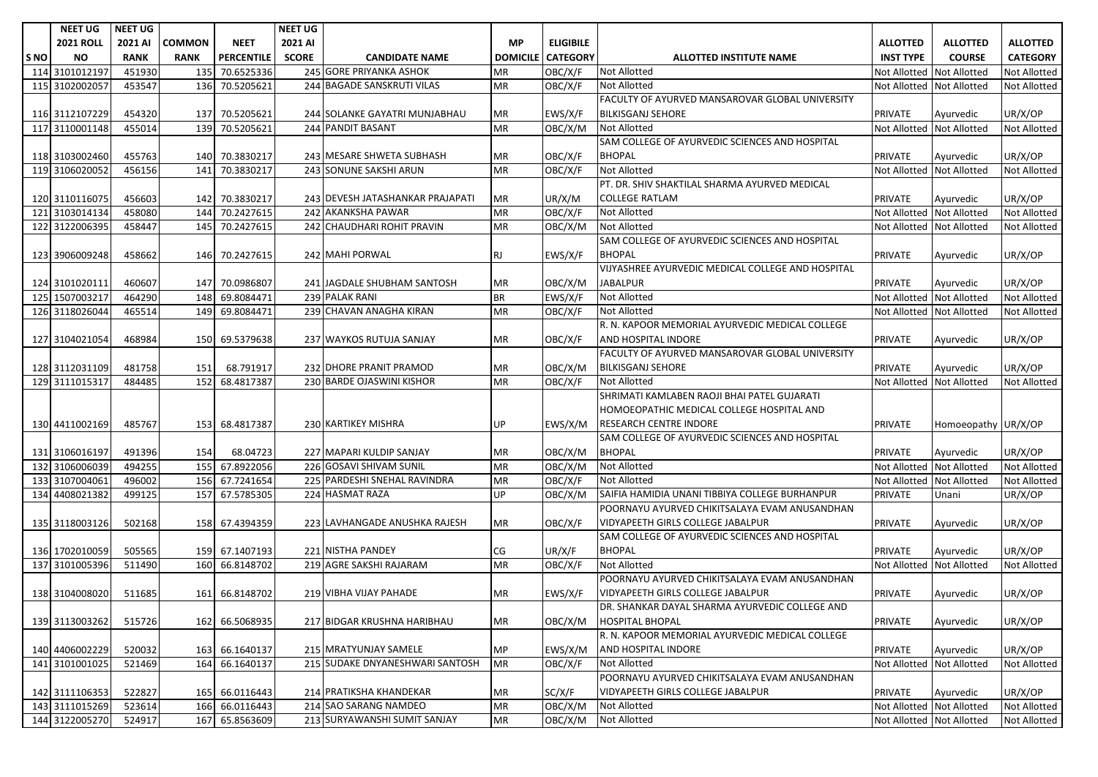|      | <b>NEET UG</b>   | <b>NEET UG</b> |               |                   | <b>NEET UG</b> |                                  |                            |                  |                                                   |                           |                     |                     |
|------|------------------|----------------|---------------|-------------------|----------------|----------------------------------|----------------------------|------------------|---------------------------------------------------|---------------------------|---------------------|---------------------|
|      | <b>2021 ROLL</b> | 2021 AI        | <b>COMMON</b> | <b>NEET</b>       | 2021 AI        |                                  | <b>MP</b>                  | <b>ELIGIBILE</b> |                                                   | <b>ALLOTTED</b>           | <b>ALLOTTED</b>     | <b>ALLOTTED</b>     |
| S NO | <b>NO</b>        | <b>RANK</b>    | <b>RANK</b>   | <b>PERCENTILE</b> | <b>SCORE</b>   | <b>CANDIDATE NAME</b>            | <b>DOMICILE   CATEGORY</b> |                  | <b>ALLOTTED INSTITUTE NAME</b>                    | <b>INST TYPE</b>          | <b>COURSE</b>       | <b>CATEGORY</b>     |
|      | 114 3101012197   | 451930         | 135           | 70.6525336        |                | 245 GORE PRIYANKA ASHOK          | MR                         | OBC/X/F          | <b>Not Allotted</b>                               | <b>Not Allotted</b>       | <b>Not Allotted</b> | Not Allotted        |
|      | 115 3102002057   | 453547         |               | 136 70.5205621    |                | 244 BAGADE SANSKRUTI VILAS       | <b>MR</b>                  | OBC/X/F          | <b>Not Allotted</b>                               | <b>Not Allotted</b>       | <b>Not Allotted</b> | Not Allotted        |
|      |                  |                |               |                   |                |                                  |                            |                  | FACULTY OF AYURVED MANSAROVAR GLOBAL UNIVERSITY   |                           |                     |                     |
|      | 116 3112107229   | 454320         |               | 137 70.5205621    |                | 244 SOLANKE GAYATRI MUNJABHAU    | MR                         | EWS/X/F          | <b>BILKISGANJ SEHORE</b>                          | <b>PRIVATE</b>            | Ayurvedic           | UR/X/OP             |
|      | 117 3110001148   | 455014         |               | 139 70.5205621    |                | 244 PANDIT BASANT                | MR                         | OBC/X/M          | Not Allotted                                      | <b>Not Allotted</b>       | <b>Not Allotted</b> | <b>Not Allotted</b> |
|      |                  |                |               |                   |                |                                  |                            |                  | SAM COLLEGE OF AYURVEDIC SCIENCES AND HOSPITAL    |                           |                     |                     |
|      | 118 3103002460   | 455763         |               | 140 70.3830217    |                | 243 MESARE SHWETA SUBHASH        | MR                         | OBC/X/F          | <b>BHOPAL</b>                                     | <b>PRIVATE</b>            | Ayurvedic           | UR/X/OP             |
|      | 119 3106020052   | 456156         |               | 141 70.3830217    |                | 243 SONUNE SAKSHI ARUN           | <b>MR</b>                  | OBC/X/F          | <b>Not Allotted</b>                               | Not Allotted Not Allotted |                     | <b>Not Allotted</b> |
|      |                  |                |               |                   |                |                                  |                            |                  | PT. DR. SHIV SHAKTILAL SHARMA AYURVED MEDICAL     |                           |                     |                     |
|      | 120 3110116075   | 456603         |               | 142 70.3830217    |                | 243 DEVESH JATASHANKAR PRAJAPATI | <b>MR</b>                  | UR/X/M           | <b>COLLEGE RATLAM</b>                             | <b>PRIVATE</b>            | Ayurvedic           | UR/X/OP             |
|      | 121 3103014134   | 458080         |               | 144 70.2427615    |                | 242 AKANKSHA PAWAR               | <b>MR</b>                  | OBC/X/F          | <b>Not Allotted</b>                               | Not Allotted Not Allotted |                     | Not Allotted        |
|      | 122 3122006395   | 458447         |               | 145 70.2427615    |                | 242 CHAUDHARI ROHIT PRAVIN       | <b>MR</b>                  | OBC/X/M          | <b>Not Allotted</b>                               | Not Allotted              | <b>Not Allotted</b> | Not Allotted        |
|      |                  |                |               |                   |                |                                  |                            |                  | SAM COLLEGE OF AYURVEDIC SCIENCES AND HOSPITAL    |                           |                     |                     |
|      | 123 3906009248   | 458662         |               | 146 70.2427615    |                | 242 MAHI PORWAL                  | <b>RJ</b>                  | EWS/X/F          | <b>BHOPAL</b>                                     | <b>PRIVATE</b>            | Ayurvedic           | UR/X/OP             |
|      |                  |                |               |                   |                |                                  |                            |                  | VIJYASHREE AYURVEDIC MEDICAL COLLEGE AND HOSPITAL |                           |                     |                     |
|      | 124 3101020111   | 460607         |               | 147 70.0986807    |                | 241 JAGDALE SHUBHAM SANTOSH      | MR                         | OBC/X/M          | <b>JABALPUR</b>                                   | <b>PRIVATE</b>            | Ayurvedic           | UR/X/OP             |
|      | 125 1507003217   | 464290         |               | 148 69.8084471    |                | 239 PALAK RANI                   | <b>BR</b>                  | EWS/X/F          | <b>Not Allotted</b>                               | Not Allotted Not Allotted |                     | Not Allotted        |
|      | 126 3118026044   | 465514         |               | 149 69.8084471    |                | 239 CHAVAN ANAGHA KIRAN          | <b>MR</b>                  | OBC/X/F          | <b>Not Allotted</b>                               | Not Allotted Not Allotted |                     | <b>Not Allotted</b> |
|      |                  |                |               |                   |                |                                  |                            |                  | R. N. KAPOOR MEMORIAL AYURVEDIC MEDICAL COLLEGE   |                           |                     |                     |
|      | 127 3104021054   | 468984         |               | 150 69.5379638    |                | 237 WAYKOS RUTUJA SANJAY         | МR                         | OBC/X/F          | AND HOSPITAL INDORE                               | <b>PRIVATE</b>            | Ayurvedic           | UR/X/OP             |
|      |                  |                |               |                   |                |                                  |                            |                  | FACULTY OF AYURVED MANSAROVAR GLOBAL UNIVERSITY   |                           |                     |                     |
|      | 128 3112031109   | 481758         | 151           | 68.791917         |                | 232 DHORE PRANIT PRAMOD          | ΜR                         | OBC/X/M          | <b>BILKISGANJ SEHORE</b>                          | PRIVATE                   | Ayurvedic           | UR/X/OP             |
|      | 129 3111015317   | 484485         |               | 152 68.4817387    |                | 230 BARDE OJASWINI KISHOR        | <b>MR</b>                  | OBC/X/F          | <b>Not Allotted</b>                               | Not Allotted Not Allotted |                     | Not Allotted        |
|      |                  |                |               |                   |                |                                  |                            |                  | SHRIMATI KAMLABEN RAOJI BHAI PATEL GUJARATI       |                           |                     |                     |
|      |                  |                |               |                   |                |                                  |                            |                  | HOMOEOPATHIC MEDICAL COLLEGE HOSPITAL AND         |                           |                     |                     |
|      | 130 4411002169   | 485767         |               | 153 68.4817387    |                | 230 KARTIKEY MISHRA              | UP                         | EWS/X/M          | RESEARCH CENTRE INDORE                            | <b>PRIVATE</b>            | Homoeopathy UR/X/OP |                     |
|      |                  |                |               |                   |                |                                  |                            |                  | SAM COLLEGE OF AYURVEDIC SCIENCES AND HOSPITAL    |                           |                     |                     |
|      | 131 3106016197   | 491396         | 154           | 68.04723          |                | 227 MAPARI KULDIP SANJAY         | MR                         | OBC/X/M          | <b>BHOPAL</b>                                     | <b>PRIVATE</b>            | Ayurvedic           | UR/X/OP             |
|      | 132 3106006039   | 494255         |               | 155 67.8922056    |                | 226 GOSAVI SHIVAM SUNIL          | <b>MR</b>                  | OBC/X/M          | <b>Not Allotted</b>                               | Not Allotted Not Allotted |                     | <b>Not Allotted</b> |
|      | 133 3107004061   | 496002         |               | 156 67.7241654    |                | 225 PARDESHI SNEHAL RAVINDRA     | MR                         | OBC/X/F          | <b>Not Allotted</b>                               | <b>Not Allotted</b>       | <b>Not Allotted</b> | Not Allotted        |
|      | 134 4408021382   | 499125         |               | 157 67.5785305    |                | 224 HASMAT RAZA                  | UP                         | OBC/X/M          | SAIFIA HAMIDIA UNANI TIBBIYA COLLEGE BURHANPUR    | PRIVATE                   | Unani               | UR/X/OP             |
|      |                  |                |               |                   |                |                                  |                            |                  | POORNAYU AYURVED CHIKITSALAYA EVAM ANUSANDHAN     |                           |                     |                     |
|      | 135 3118003126   | 502168         |               | 158 67.4394359    |                | 223 LAVHANGADE ANUSHKA RAJESH    | MR                         | OBC/X/F          | VIDYAPEETH GIRLS COLLEGE JABALPUR                 | <b>PRIVATE</b>            | Ayurvedic           | UR/X/OP             |
|      |                  |                |               |                   |                |                                  |                            |                  | SAM COLLEGE OF AYURVEDIC SCIENCES AND HOSPITAL    |                           |                     |                     |
|      | 136 1702010059   | 505565         |               | 159 67.1407193    |                | 221 NISTHA PANDEY                | CG                         | UR/X/F           | <b>BHOPAL</b>                                     | <b>PRIVATE</b>            | Ayurvedic           | UR/X/OP             |
|      | 137 3101005396   | 511490         |               | 160 66.8148702    |                | 219 AGRE SAKSHI RAJARAM          | <b>MR</b>                  | OBC/X/F          | <b>Not Allotted</b>                               | <b>Not Allotted</b>       | <b>Not Allotted</b> | Not Allotted        |
|      |                  |                |               |                   |                |                                  |                            |                  | POORNAYU AYURVED CHIKITSALAYA EVAM ANUSANDHAN     |                           |                     |                     |
|      | 138 3104008020   | 511685         |               | 161 66.8148702    |                | 219 VIBHA VIJAY PAHADE           | <b>MR</b>                  | EWS/X/F          | VIDYAPEETH GIRLS COLLEGE JABALPUR                 | <b>PRIVATE</b>            | Ayurvedic           | UR/X/OP             |
|      |                  |                |               |                   |                |                                  |                            |                  | DR. SHANKAR DAYAL SHARMA AYURVEDIC COLLEGE AND    |                           |                     |                     |
|      | 139 3113003262   | 515726         |               | 162 66.5068935    |                | 217 BIDGAR KRUSHNA HARIBHAU      | MR                         | OBC/X/M          | <b>HOSPITAL BHOPAL</b>                            | <b>PRIVATE</b>            | Ayurvedic           | UR/X/OP             |
|      |                  |                |               |                   |                |                                  |                            |                  | R. N. KAPOOR MEMORIAL AYURVEDIC MEDICAL COLLEGE   |                           |                     |                     |
|      | 140 4406002229   | 520032         |               | 163 66.1640137    |                | 215 MRATYUNJAY SAMELE            | MP                         | EWS/X/M          | AND HOSPITAL INDORE                               | <b>PRIVATE</b>            | Ayurvedic           | UR/X/OP             |
|      | 141 3101001025   | 521469         |               | 164 66.1640137    |                | 215 SUDAKE DNYANESHWARI SANTOSH  | <b>MR</b>                  | OBC/X/F          | <b>Not Allotted</b>                               | Not Allotted Not Allotted |                     | Not Allotted        |
|      |                  |                |               |                   |                |                                  |                            |                  | POORNAYU AYURVED CHIKITSALAYA EVAM ANUSANDHAN     |                           |                     |                     |
|      | 142 3111106353   | 522827         |               | 165 66.0116443    |                | 214 PRATIKSHA KHANDEKAR          | МR                         | SC/X/F           | VIDYAPEETH GIRLS COLLEGE JABALPUR                 | <b>PRIVATE</b>            | Ayurvedic           | UR/X/OP             |
|      | 143 3111015269   | 523614         |               | 166 66.0116443    |                | 214 SAO SARANG NAMDEO            | MR                         | OBC/X/M          | Not Allotted                                      | Not Allotted Not Allotted |                     | Not Allotted        |
|      | 144 3122005270   | 524917         |               | 167 65.8563609    |                | 213 SURYAWANSHI SUMIT SANJAY     | ${\sf MR}$                 | OBC/X/M          | Not Allotted                                      | Not Allotted Not Allotted |                     | Not Allotted        |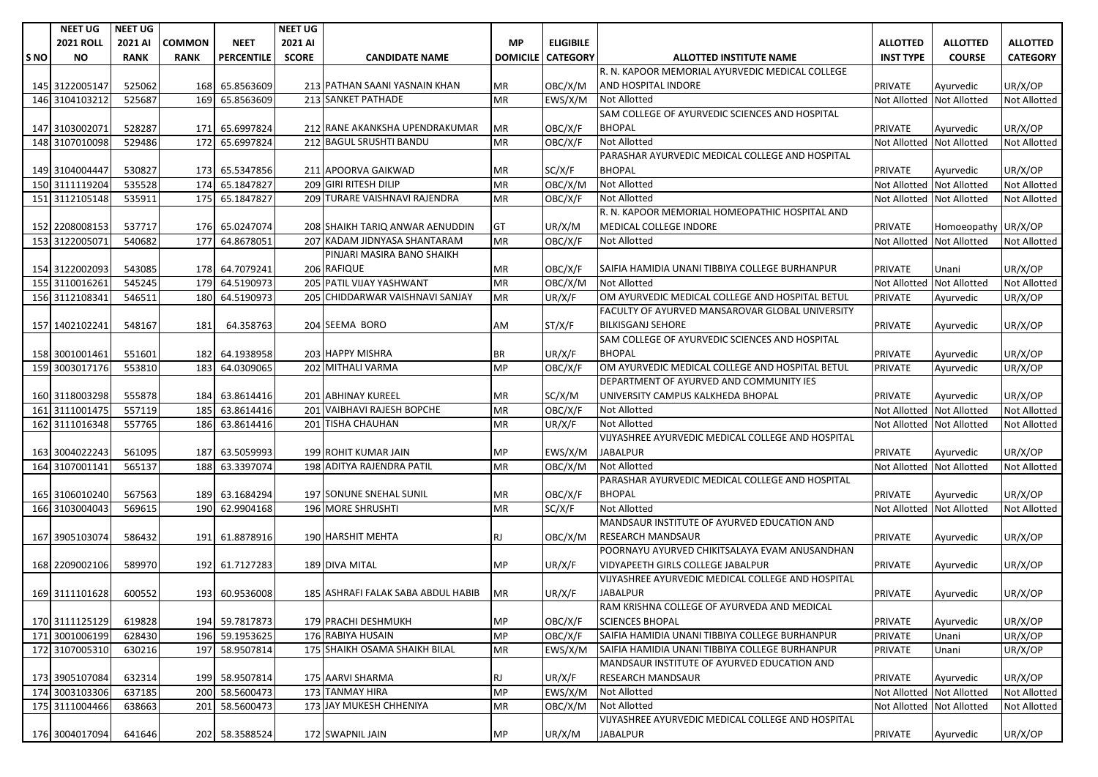|     | <b>NEET UG</b>   | <b>NEET UG</b> |               |                   | <b>NEET UG</b> |                                    |                 |                  |                                                   |                           |                     |                     |
|-----|------------------|----------------|---------------|-------------------|----------------|------------------------------------|-----------------|------------------|---------------------------------------------------|---------------------------|---------------------|---------------------|
|     | <b>2021 ROLL</b> | 2021 AI        | <b>COMMON</b> | <b>NEET</b>       | 2021 AI        |                                    | <b>MP</b>       | <b>ELIGIBILE</b> |                                                   | <b>ALLOTTED</b>           | <b>ALLOTTED</b>     | <b>ALLOTTED</b>     |
| SNO | <b>NO</b>        | <b>RANK</b>    | <b>RANK</b>   | <b>PERCENTILE</b> | <b>SCORE</b>   | <b>CANDIDATE NAME</b>              | <b>DOMICILE</b> | <b>CATEGORY</b>  | <b>ALLOTTED INSTITUTE NAME</b>                    | <b>INST TYPE</b>          | <b>COURSE</b>       | <b>CATEGORY</b>     |
|     |                  |                |               |                   |                |                                    |                 |                  | R. N. KAPOOR MEMORIAL AYURVEDIC MEDICAL COLLEGE   |                           |                     |                     |
|     | 145 3122005147   | 525062         |               | 168 65.8563609    |                | 213 PATHAN SAANI YASNAIN KHAN      | ΜR              | OBC/X/M          | AND HOSPITAL INDORE                               | <b>PRIVATE</b>            | Ayurvedic           | UR/X/OP             |
|     | 146 3104103212   | 525687         | 169           | 65.8563609        |                | 213 SANKET PATHADE                 | <b>MR</b>       | EWS/X/M          | <b>Not Allotted</b>                               | <b>Not Allotted</b>       | <b>Not Allotted</b> | <b>Not Allotted</b> |
|     |                  |                |               |                   |                |                                    |                 |                  | SAM COLLEGE OF AYURVEDIC SCIENCES AND HOSPITAL    |                           |                     |                     |
|     | 147 3103002071   | 528287         | 171           | 65.6997824        |                | 212 RANE AKANKSHA UPENDRAKUMAR     | ΜR              | OBC/X/F          | <b>BHOPAL</b>                                     | <b>PRIVATE</b>            | Ayurvedic           | UR/X/OP             |
|     | 148 3107010098   | 529486         | 172           | 65.6997824        |                | 212 BAGUL SRUSHTI BANDU            | <b>MR</b>       | OBC/X/F          | <b>Not Allotted</b>                               | <b>Not Allotted</b>       | <b>Not Allotted</b> | Not Allotted        |
|     |                  |                |               |                   |                |                                    |                 |                  | PARASHAR AYURVEDIC MEDICAL COLLEGE AND HOSPITAL   |                           |                     |                     |
|     | 149 3104004447   | 530827         |               | 173 65.5347856    |                | 211 APOORVA GAIKWAD                | ΜR              | SC/X/F           | <b>BHOPAL</b>                                     | <b>PRIVATE</b>            | Ayurvedic           | UR/X/OP             |
|     | 150 3111119204   | 535528         | 174           | 65.1847827        |                | 209 GIRI RITESH DILIP              | MR              | OBC/X/M          | <b>Not Allotted</b>                               | Not Allotted Not Allotted |                     | Not Allotted        |
|     | 151 3112105148   | 535911         |               | 175 65.1847827    |                | 209 TURARE VAISHNAVI RAJENDRA      | <b>MR</b>       | OBC/X/F          | <b>Not Allotted</b>                               | <b>Not Allotted</b>       | <b>Not Allotted</b> | <b>Not Allotted</b> |
|     |                  |                |               |                   |                |                                    |                 |                  | R. N. KAPOOR MEMORIAL HOMEOPATHIC HOSPITAL AND    |                           |                     |                     |
|     | 152 2208008153   | 537717         |               | 176 65.0247074    |                | 208 SHAIKH TARIQ ANWAR AENUDDIN    | GT              | UR/X/M           | MEDICAL COLLEGE INDORE                            | <b>PRIVATE</b>            | Homoeopathy         | UR/X/OP             |
|     | 153 3122005071   | 540682         | 177           | 64.8678051        |                | 207 KADAM JIDNYASA SHANTARAM       | <b>MR</b>       | OBC/X/F          | Not Allotted                                      | <b>Not Allotted</b>       | <b>Not Allotted</b> | Not Allotted        |
|     |                  |                |               |                   |                | PINJARI MASIRA BANO SHAIKH         |                 |                  |                                                   |                           |                     |                     |
|     | 154 3122002093   | 543085         |               | 178 64.7079241    |                | 206 RAFIQUE                        | ΜR              | OBC/X/F          | SAIFIA HAMIDIA UNANI TIBBIYA COLLEGE BURHANPUR    | <b>PRIVATE</b>            | Unani               | UR/X/OP             |
|     | 155 3110016261   | 545245         |               | 179 64.5190973    |                | 205 PATIL VIJAY YASHWANT           | ΜR              | OBC/X/M          | <b>Not Allotted</b>                               | <b>Not Allotted</b>       | <b>Not Allotted</b> | <b>Not Allotted</b> |
|     | 156 3112108341   | 546511         |               | 180 64.5190973    |                | 205 CHIDDARWAR VAISHNAVI SANJAY    | MR              | UR/X/F           | OM AYURVEDIC MEDICAL COLLEGE AND HOSPITAL BETUL   | PRIVATE                   | Ayurvedic           | UR/X/OP             |
|     |                  |                |               |                   |                |                                    |                 |                  | FACULTY OF AYURVED MANSAROVAR GLOBAL UNIVERSITY   |                           |                     |                     |
|     | 157 1402102241   | 548167         | 181           | 64.358763         |                | 204 SEEMA BORO                     | AM              | ST/X/F           | <b>BILKISGANJ SEHORE</b>                          | <b>PRIVATE</b>            | Ayurvedic           | UR/X/OP             |
|     |                  |                |               |                   |                |                                    |                 |                  | SAM COLLEGE OF AYURVEDIC SCIENCES AND HOSPITAL    |                           |                     |                     |
|     | 158 3001001461   | 551601         |               | 182 64.1938958    |                | 203 HAPPY MISHRA                   | ΒR              | UR/X/F           | <b>BHOPAL</b>                                     | <b>PRIVATE</b>            | Ayurvedic           | UR/X/OP             |
|     | 159 3003017176   | 553810         | 183           | 64.0309065        |                | 202 MITHALI VARMA                  | <b>MP</b>       | OBC/X/F          | OM AYURVEDIC MEDICAL COLLEGE AND HOSPITAL BETUL   | PRIVATE                   | Ayurvedic           | UR/X/OP             |
|     |                  |                |               |                   |                |                                    |                 |                  | DEPARTMENT OF AYURVED AND COMMUNITY IES           |                           |                     |                     |
|     | 160 3118003298   | 555878         |               | 184 63.8614416    |                | 201 ABHINAY KUREEL                 | ΜR              | SC/X/M           | UNIVERSITY CAMPUS KALKHEDA BHOPAL                 | <b>PRIVATE</b>            | Ayurvedic           | UR/X/OP             |
|     | 161 3111001475   | 557119         |               | 185 63.8614416    |                | 201 VAIBHAVI RAJESH BOPCHE         | MR              | OBC/X/F          | <b>Not Allotted</b>                               | <b>Not Allotted</b>       | <b>Not Allotted</b> | <b>Not Allotted</b> |
|     | 162 3111016348   | 557765         |               | 186 63.8614416    |                | 201 TISHA CHAUHAN                  | MR              | UR/X/F           | Not Allotted                                      | <b>Not Allotted</b>       | <b>Not Allotted</b> | <b>Not Allotted</b> |
|     |                  |                |               |                   |                |                                    |                 |                  | VIJYASHREE AYURVEDIC MEDICAL COLLEGE AND HOSPITAL |                           |                     |                     |
|     | 163 3004022243   | 561095         |               | 187 63.5059993    |                | 199 ROHIT KUMAR JAIN               | ΜP              | EWS/X/M          | <b>JABALPUR</b>                                   | <b>PRIVATE</b>            | Ayurvedic           | UR/X/OP             |
|     | 164 3107001141   | 565137         |               | 188 63.3397074    |                | 198 ADITYA RAJENDRA PATIL          | MR              | OBC/X/M          | <b>Not Allotted</b>                               | <b>Not Allotted</b>       | <b>Not Allotted</b> | <b>Not Allotted</b> |
|     |                  |                |               |                   |                |                                    |                 |                  | PARASHAR AYURVEDIC MEDICAL COLLEGE AND HOSPITAL   |                           |                     |                     |
|     | 165 3106010240   | 567563         | 189           | 63.1684294        |                | 197 SONUNE SNEHAL SUNIL            | МR              | OBC/X/F          | <b>BHOPAL</b>                                     | <b>PRIVATE</b>            | Ayurvedic           | UR/X/OP             |
|     | 166 3103004043   | 569615         |               | 190 62.9904168    |                | 196 MORE SHRUSHTI                  | MR              | SC/X/F           | <b>Not Allotted</b>                               | Not Allotted              | <b>Not Allotted</b> | <b>Not Allotted</b> |
|     |                  |                |               |                   |                |                                    |                 |                  | MANDSAUR INSTITUTE OF AYURVED EDUCATION AND       |                           |                     |                     |
|     | 167 3905103074   | 586432         | 191           | 61.8878916        |                | 190 HARSHIT MEHTA                  | RJ              | OBC/X/M          | <b>RESEARCH MANDSAUR</b>                          | PRIVATE                   | Ayurvedic           | UR/X/OP             |
|     |                  |                |               |                   |                |                                    |                 |                  | POORNAYU AYURVED CHIKITSALAYA EVAM ANUSANDHAN     |                           |                     |                     |
|     | 168 2209002106   | 589970         |               | 192 61.7127283    |                | 189 DIVA MITAL                     | MP              | UR/X/F           | VIDYAPEETH GIRLS COLLEGE JABALPUR                 | <b>PRIVATE</b>            | Ayurvedic           | UR/X/OP             |
|     |                  |                |               |                   |                |                                    |                 |                  | VIJYASHREE AYURVEDIC MEDICAL COLLEGE AND HOSPITAL |                           |                     |                     |
|     | 169 3111101628   | 600552         |               | 193 60.9536008    |                | 185 ASHRAFI FALAK SABA ABDUL HABIB | MR              | UR/X/F           | <b>JABALPUR</b>                                   | <b>PRIVATE</b>            | Ayurvedic           | UR/X/OP             |
|     |                  |                |               |                   |                |                                    |                 |                  | RAM KRISHNA COLLEGE OF AYURVEDA AND MEDICAL       |                           |                     |                     |
|     | 170 3111125129   | 619828         |               | 194 59.7817873    |                | 179 PRACHI DESHMUKH                | <b>MP</b>       | OBC/X/F          | <b>SCIENCES BHOPAL</b>                            | <b>PRIVATE</b>            | Ayurvedic           | UR/X/OP             |
|     | 171 3001006199   | 628430         |               | 196 59.1953625    |                | 176 RABIYA HUSAIN                  | MP              | OBC/X/F          | SAIFIA HAMIDIA UNANI TIBBIYA COLLEGE BURHANPUR    | <b>PRIVATE</b>            | Unani               | UR/X/OP             |
|     | 172 3107005310   | 630216         |               | 197 58.9507814    |                | 175 SHAIKH OSAMA SHAIKH BILAL      | MR              | EWS/X/M          | SAIFIA HAMIDIA UNANI TIBBIYA COLLEGE BURHANPUR    | PRIVATE                   | Unani               | UR/X/OP             |
|     |                  |                |               |                   |                |                                    |                 |                  | MANDSAUR INSTITUTE OF AYURVED EDUCATION AND       |                           |                     |                     |
|     | 173 3905107084   | 632314         |               | 199 58.9507814    |                | 175 AARVI SHARMA                   | RJ.             | UR/X/F           | RESEARCH MANDSAUR                                 | PRIVATE                   | Ayurvedic           | UR/X/OP             |
|     | 174 3003103306   | 637185         |               | 200 58.5600473    |                | 173 TANMAY HIRA                    | <b>MP</b>       | EWS/X/M          | <b>Not Allotted</b>                               | Not Allotted Not Allotted |                     | <b>Not Allotted</b> |
|     | 175 3111004466   | 638663         |               | 201 58.5600473    |                | 173 JAY MUKESH CHHENIYA            | ΜR              | OBC/X/M          | <b>Not Allotted</b>                               | Not Allotted Not Allotted |                     | Not Allotted        |
|     |                  |                |               |                   |                |                                    |                 |                  | VIJYASHREE AYURVEDIC MEDICAL COLLEGE AND HOSPITAL |                           |                     |                     |
|     | 176 3004017094   | 641646         |               | 202 58.3588524    |                | 172 SWAPNIL JAIN                   | MP              | UR/X/M           | JABALPUR                                          | <b>PRIVATE</b>            | Ayurvedic           | UR/X/OP             |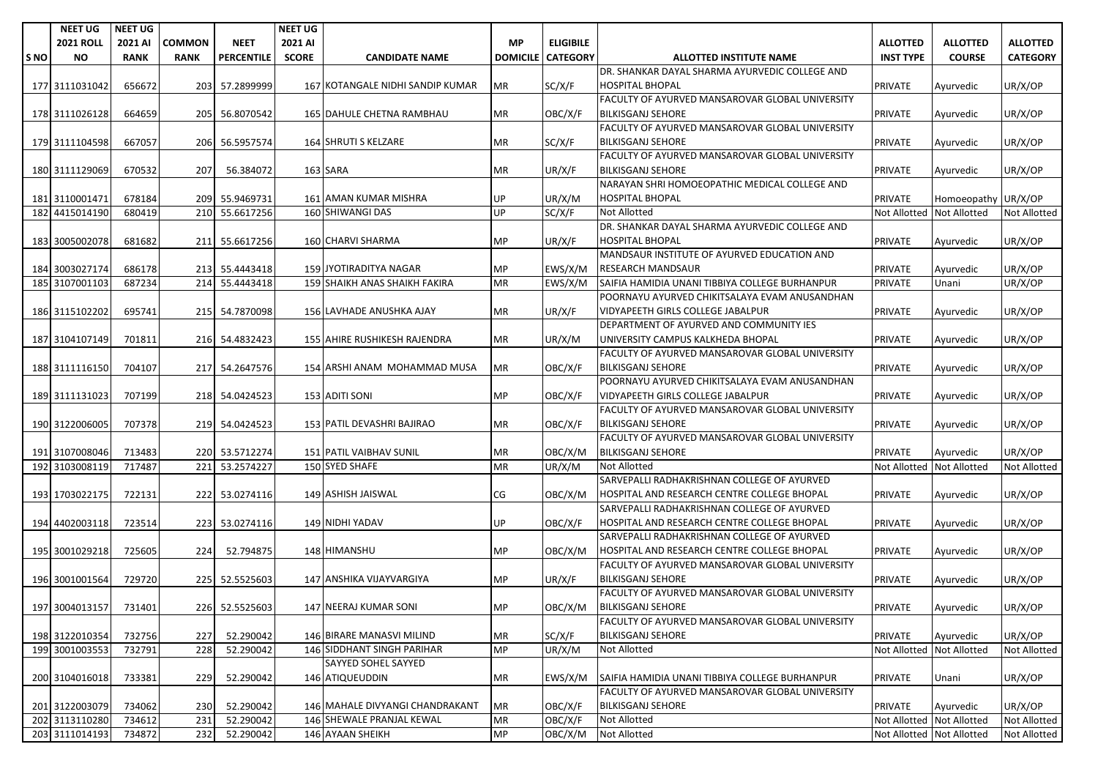|            | <b>NEET UG</b>   | <b>NEET UG</b> |             |                   | <b>NEET UG</b> |                                  |                 |                  |                                                        |                           |                     |                     |
|------------|------------------|----------------|-------------|-------------------|----------------|----------------------------------|-----------------|------------------|--------------------------------------------------------|---------------------------|---------------------|---------------------|
|            | <b>2021 ROLL</b> | 2021 AI        | COMMON      | <b>NEET</b>       | 2021 AI        |                                  | <b>MP</b>       | <b>ELIGIBILE</b> |                                                        | <b>ALLOTTED</b>           | <b>ALLOTTED</b>     | <b>ALLOTTED</b>     |
| <b>SNO</b> | <b>NO</b>        | <b>RANK</b>    | <b>RANK</b> | <b>PERCENTILE</b> | <b>SCORE</b>   | <b>CANDIDATE NAME</b>            | <b>DOMICILE</b> | <b>CATEGORY</b>  | <b>ALLOTTED INSTITUTE NAME</b>                         | <b>INST TYPE</b>          | <b>COURSE</b>       | <b>CATEGORY</b>     |
|            |                  |                |             |                   |                |                                  |                 |                  | DR. SHANKAR DAYAL SHARMA AYURVEDIC COLLEGE AND         |                           |                     |                     |
|            | 177 3111031042   | 656672         |             | 203 57.2899999    |                | 167 KOTANGALE NIDHI SANDIP KUMAR | MR              | SC/X/F           | <b>HOSPITAL BHOPAL</b>                                 | <b>PRIVATE</b>            | Ayurvedic           | UR/X/OP             |
|            |                  |                |             |                   |                |                                  |                 |                  | FACULTY OF AYURVED MANSAROVAR GLOBAL UNIVERSITY        |                           |                     |                     |
|            | 178 3111026128   | 664659         |             | 205 56.8070542    |                | 165 DAHULE CHETNA RAMBHAU        | MR              | OBC/X/F          | <b>BILKISGANJ SEHORE</b>                               | <b>PRIVATE</b>            | Ayurvedic           | UR/X/OP             |
|            |                  |                |             |                   |                |                                  |                 |                  | FACULTY OF AYURVED MANSAROVAR GLOBAL UNIVERSITY        |                           |                     |                     |
|            | 179 3111104598   | 667057         |             | 206 56.5957574    |                | 164 SHRUTI S KELZARE             | MR              | SC/X/F           | <b>BILKISGANJ SEHORE</b>                               | <b>PRIVATE</b>            | Ayurvedic           | UR/X/OP             |
|            |                  |                |             |                   |                |                                  |                 |                  | FACULTY OF AYURVED MANSAROVAR GLOBAL UNIVERSITY        |                           |                     |                     |
|            | 180 3111129069   | 670532         | 207         | 56.384072         |                | 163 SARA                         | MR              | UR/X/F           | <b>BILKISGANJ SEHORE</b>                               | <b>PRIVATE</b>            | Ayurvedic           | UR/X/OP             |
|            |                  |                |             |                   |                |                                  |                 |                  | NARAYAN SHRI HOMOEOPATHIC MEDICAL COLLEGE AND          |                           |                     |                     |
|            | 181 3110001471   | 678184         |             | 209 55.9469731    |                | 161 AMAN KUMAR MISHRA            | UP              | UR/X/M           | <b>HOSPITAL BHOPAL</b>                                 | <b>PRIVATE</b>            | Homoeopathy         | UR/X/OP             |
|            | 182 4415014190   | 680419         |             | 210 55.6617256    |                | 160 SHIWANGI DAS                 | <b>UP</b>       | SC/X/F           | Not Allotted                                           | <b>Not Allotted</b>       | <b>Not Allotted</b> | <b>Not Allotted</b> |
|            |                  |                |             |                   |                |                                  |                 |                  | DR. SHANKAR DAYAL SHARMA AYURVEDIC COLLEGE AND         |                           |                     |                     |
|            | 183 3005002078   | 681682         |             | 211 55.6617256    |                | 160 CHARVI SHARMA                | MP              | UR/X/F           | <b>HOSPITAL BHOPAL</b>                                 | <b>PRIVATE</b>            | Ayurvedic           | UR/X/OP             |
|            |                  |                |             |                   |                |                                  |                 |                  | MANDSAUR INSTITUTE OF AYURVED EDUCATION AND            |                           |                     |                     |
|            | 184 3003027174   | 686178         |             | 213 55.4443418    |                | 159 JYOTIRADITYA NAGAR           | MP              | EWS/X/M          | <b>RESEARCH MANDSAUR</b>                               | <b>PRIVATE</b>            | Ayurvedic           | UR/X/OP             |
|            | 185 3107001103   | 687234         |             | 214 55.4443418    |                | 159 SHAIKH ANAS SHAIKH FAKIRA    | <b>MR</b>       | EWS/X/M          | SAIFIA HAMIDIA UNANI TIBBIYA COLLEGE BURHANPUR         | <b>PRIVATE</b>            | Unani               | UR/X/OP             |
|            |                  |                |             |                   |                |                                  |                 |                  | POORNAYU AYURVED CHIKITSALAYA EVAM ANUSANDHAN          |                           |                     |                     |
|            | 186 3115102202   | 695741         |             | 215 54.7870098    |                | 156 LAVHADE ANUSHKA AJAY         | MR              | UR/X/F           | VIDYAPEETH GIRLS COLLEGE JABALPUR                      | <b>PRIVATE</b>            | Ayurvedic           | UR/X/OP             |
|            |                  |                |             |                   |                |                                  |                 |                  | DEPARTMENT OF AYURVED AND COMMUNITY IES                |                           |                     |                     |
|            | 187 3104107149   | 701811         |             | 216 54.4832423    |                | 155 AHIRE RUSHIKESH RAJENDRA     | MR              | UR/X/M           | UNIVERSITY CAMPUS KALKHEDA BHOPAL                      | <b>PRIVATE</b>            | Ayurvedic           | UR/X/OP             |
|            |                  |                |             |                   |                |                                  |                 |                  | <b>FACULTY OF AYURVED MANSAROVAR GLOBAL UNIVERSITY</b> |                           |                     |                     |
|            | 188 3111116150   | 704107         |             | 217 54.2647576    |                | 154 ARSHI ANAM MOHAMMAD MUSA     | MR              | OBC/X/F          | <b>BILKISGANJ SEHORE</b>                               | <b>PRIVATE</b>            | Ayurvedic           | UR/X/OP             |
|            |                  |                |             |                   |                |                                  |                 |                  | POORNAYU AYURVED CHIKITSALAYA EVAM ANUSANDHAN          |                           |                     |                     |
|            | 189 3111131023   | 707199         |             | 218 54.0424523    |                | 153 ADITI SONI                   | <b>MP</b>       | OBC/X/F          | VIDYAPEETH GIRLS COLLEGE JABALPUR                      | <b>PRIVATE</b>            | Ayurvedic           | UR/X/OP             |
|            |                  |                |             |                   |                |                                  |                 |                  | FACULTY OF AYURVED MANSAROVAR GLOBAL UNIVERSITY        |                           |                     |                     |
|            | 190 3122006005   | 707378         |             | 219 54.0424523    |                | 153 PATIL DEVASHRI BAJIRAO       | MR              | OBC/X/F          | <b>BILKISGANJ SEHORE</b>                               | <b>PRIVATE</b>            | Ayurvedic           | UR/X/OP             |
|            |                  |                |             |                   |                |                                  |                 |                  | FACULTY OF AYURVED MANSAROVAR GLOBAL UNIVERSITY        |                           |                     |                     |
|            | 191 3107008046   | 713483         |             | 220 53.5712274    |                | 151 PATIL VAIBHAV SUNIL          | MR              | OBC/X/M          | <b>BILKISGANJ SEHORE</b>                               | <b>PRIVATE</b>            | Ayurvedic           | UR/X/OP             |
|            | 192 3103008119   | 717487         |             | 221 53.2574227    |                | 150 SYED SHAFE                   | <b>MR</b>       | UR/X/M           | <b>Not Allotted</b>                                    | Not Allotted Not Allotted |                     | Not Allotted        |
|            |                  |                |             |                   |                |                                  |                 |                  | SARVEPALLI RADHAKRISHNAN COLLEGE OF AYURVED            |                           |                     |                     |
|            | 193 1703022175   | 722131         |             | 222 53.0274116    |                | 149 ASHISH JAISWAL               | CG              | OBC/X/M          | HOSPITAL AND RESEARCH CENTRE COLLEGE BHOPAL            | <b>PRIVATE</b>            | Ayurvedic           | UR/X/OP             |
|            |                  |                |             |                   |                |                                  |                 |                  | SARVEPALLI RADHAKRISHNAN COLLEGE OF AYURVED            |                           |                     |                     |
|            | 194 4402003118   | 723514         |             | 223 53.0274116    |                | 149 NIDHI YADAV                  | UP              | OBC/X/F          | HOSPITAL AND RESEARCH CENTRE COLLEGE BHOPAL            | <b>PRIVATE</b>            | Ayurvedic           | UR/X/OP             |
|            |                  |                |             |                   |                |                                  |                 |                  | SARVEPALLI RADHAKRISHNAN COLLEGE OF AYURVED            |                           |                     |                     |
|            | 195 3001029218   | 725605         | 224         | 52.794875         |                | 148 HIMANSHU                     | MP              | OBC/X/M          | HOSPITAL AND RESEARCH CENTRE COLLEGE BHOPAL            | <b>PRIVATE</b>            | Ayurvedic           | UR/X/OP             |
|            |                  |                |             |                   |                |                                  |                 |                  | FACULTY OF AYURVED MANSAROVAR GLOBAL UNIVERSITY        |                           |                     |                     |
|            | 196 3001001564   | 729720         |             | 225 52.5525603    |                | 147 ANSHIKA VIJAYVARGIYA         | MP              | UR/X/F           | <b>BILKISGANJ SEHORE</b>                               | <b>PRIVATE</b>            | Ayurvedic           | UR/X/OP             |
|            |                  |                |             |                   |                |                                  |                 |                  | FACULTY OF AYURVED MANSAROVAR GLOBAL UNIVERSITY        |                           |                     |                     |
|            | 197 3004013157   | 731401         |             | 226 52.5525603    |                | 147 NEERAJ KUMAR SONI            | <b>MP</b>       | OBC/X/M          | <b>BILKISGANJ SEHORE</b>                               | PRIVATE                   | Ayurvedic           | UR/X/OP             |
|            |                  |                |             |                   |                |                                  |                 |                  | FACULTY OF AYURVED MANSAROVAR GLOBAL UNIVERSITY        |                           |                     |                     |
|            | 198 3122010354   | 732756         | 227         | 52.290042         |                | 146 BIRARE MANASVI MILIND        | ΜR              | SC/X/F           | <b>BILKISGANJ SEHORE</b>                               | <b>PRIVATE</b>            | Ayurvedic           | UR/X/OP             |
|            | 199 3001003553   | 732791         | 228         | 52.290042         |                | 146 SIDDHANT SINGH PARIHAR       | <b>MP</b>       | UR/X/M           | <b>Not Allotted</b>                                    | Not Allotted Not Allotted |                     | <b>Not Allotted</b> |
|            |                  |                |             |                   |                | SAYYED SOHEL SAYYED              |                 |                  |                                                        |                           |                     |                     |
|            | 200 3104016018   | 733381         | 229         | 52.290042         |                | 146 ATIQUEUDDIN                  | ΜR              | EWS/X/M          | SAIFIA HAMIDIA UNANI TIBBIYA COLLEGE BURHANPUR         | <b>PRIVATE</b>            | Unani               | UR/X/OP             |
|            |                  |                |             |                   |                |                                  |                 |                  | FACULTY OF AYURVED MANSAROVAR GLOBAL UNIVERSITY        |                           |                     |                     |
|            | 201 3122003079   | 734062         | 230         | 52.290042         |                | 146 MAHALE DIVYANGI CHANDRAKANT  | MR              | OBC/X/F          | <b>BILKISGANJ SEHORE</b>                               | <b>PRIVATE</b>            | Ayurvedic           | UR/X/OP             |
|            | 202 3113110280   | 734612         | 231         | 52.290042         |                | 146 SHEWALE PRANJAL KEWAL        | MR              | OBC/X/F          | Not Allotted                                           | Not Allotted Not Allotted |                     | Not Allotted        |
|            | 203 3111014193   | 734872         | 232         | 52.290042         |                | 146 AYAAN SHEIKH                 | MP              | OBC/X/M          | Not Allotted                                           | Not Allotted Not Allotted |                     | Not Allotted        |
|            |                  |                |             |                   |                |                                  |                 |                  |                                                        |                           |                     |                     |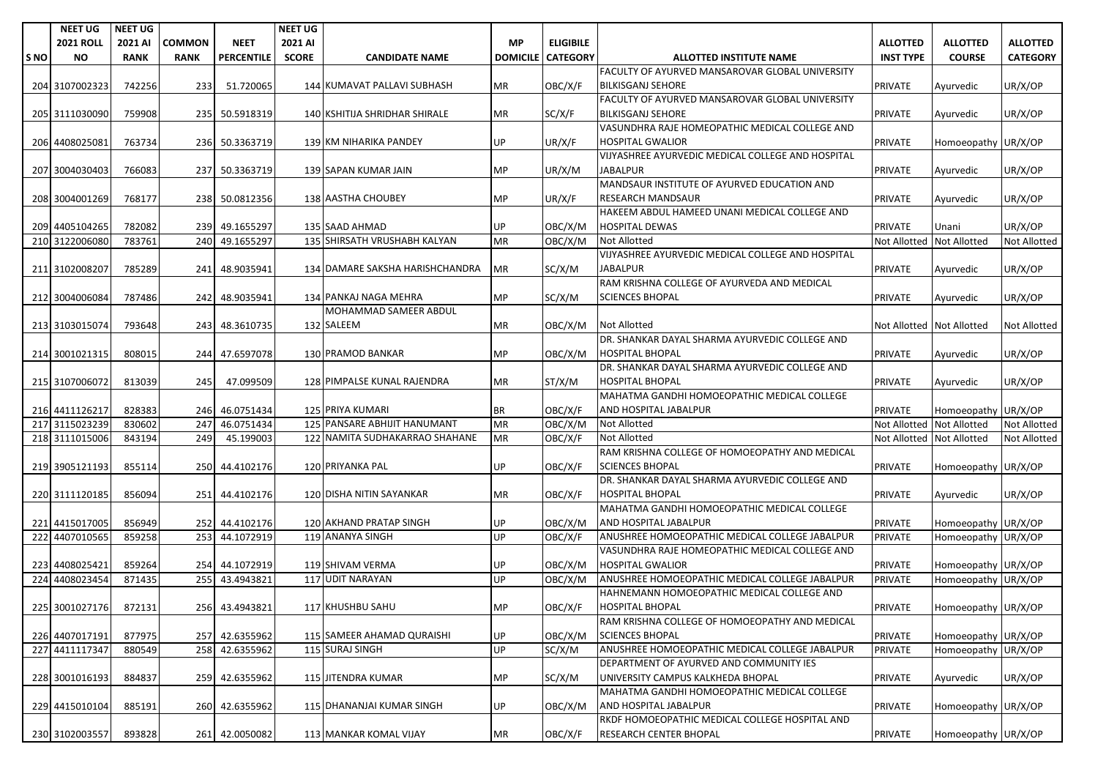|       | <b>NEET UG</b>   | <b>NEET UG</b> |               |                   | <b>NEET UG</b> |                                 |           |                          |                                                        |                           |                     |                     |
|-------|------------------|----------------|---------------|-------------------|----------------|---------------------------------|-----------|--------------------------|--------------------------------------------------------|---------------------------|---------------------|---------------------|
|       | <b>2021 ROLL</b> | 2021 AI        | <b>COMMON</b> | <b>NEET</b>       | 2021 AI        |                                 | <b>MP</b> | <b>ELIGIBILE</b>         |                                                        | <b>ALLOTTED</b>           | <b>ALLOTTED</b>     | <b>ALLOTTED</b>     |
| ls NO | <b>NO</b>        | <b>RANK</b>    | <b>RANK</b>   | <b>PERCENTILE</b> | <b>SCORE</b>   | <b>CANDIDATE NAME</b>           |           | <b>DOMICILE CATEGORY</b> | <b>ALLOTTED INSTITUTE NAME</b>                         | <b>INST TYPE</b>          | <b>COURSE</b>       | <b>CATEGORY</b>     |
|       |                  |                |               |                   |                |                                 |           |                          | <b>FACULTY OF AYURVED MANSAROVAR GLOBAL UNIVERSITY</b> |                           |                     |                     |
|       | 204 3107002323   | 742256         | 233           | 51.720065         |                | 144 KUMAVAT PALLAVI SUBHASH     | МR        | OBC/X/F                  | <b>BILKISGANJ SEHORE</b>                               | <b>PRIVATE</b>            | Ayurvedic           | UR/X/OP             |
|       |                  |                |               |                   |                |                                 |           |                          | FACULTY OF AYURVED MANSAROVAR GLOBAL UNIVERSITY        |                           |                     |                     |
|       | 205 3111030090   | 759908         |               | 235 50.5918319    |                | 140 KSHITIJA SHRIDHAR SHIRALE   | МR        | SC/X/F                   | <b>BILKISGANJ SEHORE</b>                               | <b>PRIVATE</b>            | Ayurvedic           | UR/X/OP             |
|       |                  |                |               |                   |                |                                 |           |                          | VASUNDHRA RAJE HOMEOPATHIC MEDICAL COLLEGE AND         |                           |                     |                     |
|       | 206 4408025081   | 763734         |               | 236 50.3363719    |                | 139 KM NIHARIKA PANDEY          | UP        | UR/X/F                   | <b>HOSPITAL GWALIOR</b>                                | <b>PRIVATE</b>            | Homoeopathy UR/X/OP |                     |
|       |                  |                |               |                   |                |                                 |           |                          | VIJYASHREE AYURVEDIC MEDICAL COLLEGE AND HOSPITAL      |                           |                     |                     |
|       | 207 3004030403   | 766083         |               | 237 50.3363719    |                | 139 SAPAN KUMAR JAIN            | <b>MP</b> | UR/X/M                   | <b>JABALPUR</b>                                        | <b>PRIVATE</b>            | Ayurvedic           | UR/X/OP             |
|       |                  |                |               |                   |                |                                 |           |                          | MANDSAUR INSTITUTE OF AYURVED EDUCATION AND            |                           |                     |                     |
|       | 208 3004001269   | 768177         |               | 238 50.0812356    |                | <b>138 AASTHA CHOUBEY</b>       | <b>MP</b> |                          | <b>RESEARCH MANDSAUR</b>                               | <b>PRIVATE</b>            |                     |                     |
|       |                  |                |               |                   |                |                                 |           | UR/X/F                   | HAKEEM ABDUL HAMEED UNANI MEDICAL COLLEGE AND          |                           | Ayurvedic           | UR/X/OP             |
|       |                  |                |               |                   |                |                                 |           |                          |                                                        |                           |                     |                     |
|       | 209 4405104265   | 782082         |               | 239 49.1655297    |                | 135 SAAD AHMAD                  | UP        | OBC/X/M                  | <b>HOSPITAL DEWAS</b>                                  | <b>PRIVATE</b>            | Unani               | UR/X/OP             |
|       | 210 3122006080   | 783761         | 240           | 49.1655297        |                | 135 SHIRSATH VRUSHABH KALYAN    | <b>MR</b> | OBC/X/M                  | <b>Not Allotted</b>                                    | Not Allotted              | <b>Not Allotted</b> | <b>Not Allotted</b> |
|       |                  |                |               |                   |                |                                 |           |                          | VIJYASHREE AYURVEDIC MEDICAL COLLEGE AND HOSPITAL      |                           |                     |                     |
|       | 211 3102008207   | 785289         | 241           | 48.9035941        |                | 134 DAMARE SAKSHA HARISHCHANDRA | MR        | SC/X/M                   | <b>JABALPUR</b>                                        | <b>PRIVATE</b>            | Ayurvedic           | UR/X/OP             |
|       |                  |                |               |                   |                |                                 |           |                          | RAM KRISHNA COLLEGE OF AYURVEDA AND MEDICAL            |                           |                     |                     |
|       | 212 3004006084   | 787486         |               | 242 48.9035941    |                | 134 PANKAJ NAGA MEHRA           | MP        | SC/X/M                   | <b>SCIENCES BHOPAL</b>                                 | <b>PRIVATE</b>            | Ayurvedic           | UR/X/OP             |
|       |                  |                |               |                   |                | MOHAMMAD SAMEER ABDUL           |           |                          |                                                        |                           |                     |                     |
|       | 213 3103015074   | 793648         |               | 243 48.3610735    |                | 132 SALEEM                      | МR        | OBC/X/M                  | <b>Not Allotted</b>                                    | Not Allotted Not Allotted |                     | <b>Not Allotted</b> |
|       |                  |                |               |                   |                |                                 |           |                          | DR. SHANKAR DAYAL SHARMA AYURVEDIC COLLEGE AND         |                           |                     |                     |
|       | 214 3001021315   | 808015         |               | 244 47.6597078    |                | 130 PRAMOD BANKAR               | MP        | OBC/X/M                  | <b>HOSPITAL BHOPAL</b>                                 | <b>PRIVATE</b>            | Ayurvedic           | UR/X/OP             |
|       |                  |                |               |                   |                |                                 |           |                          | DR. SHANKAR DAYAL SHARMA AYURVEDIC COLLEGE AND         |                           |                     |                     |
|       | 215 3107006072   | 813039         | 245           | 47.099509         |                | 128 PIMPALSE KUNAL RAJENDRA     | MR.       | ST/X/M                   | <b>HOSPITAL BHOPAL</b>                                 | <b>PRIVATE</b>            | Ayurvedic           | UR/X/OP             |
|       |                  |                |               |                   |                |                                 |           |                          | MAHATMA GANDHI HOMOEOPATHIC MEDICAL COLLEGE            |                           |                     |                     |
|       | 216 4411126217   | 828383         |               | 246 46.0751434    |                | 125 PRIYA KUMARI                | BR        | OBC/X/F                  | AND HOSPITAL JABALPUR                                  | <b>PRIVATE</b>            | Homoeopathy UR/X/OP |                     |
|       | 217 3115023239   | 830602         | 247           | 46.0751434        |                | 125 PANSARE ABHIJIT HANUMANT    | <b>MR</b> | OBC/X/M                  | <b>Not Allotted</b>                                    | <b>Not Allotted</b>       | <b>Not Allotted</b> | <b>Not Allotted</b> |
|       | 218 3111015006   | 843194         | 249           | 45.199003         |                | 122 NAMITA SUDHAKARRAO SHAHANE  | <b>MR</b> | OBC/X/F                  | <b>Not Allotted</b>                                    | Not Allotted              | <b>Not Allotted</b> | <b>Not Allotted</b> |
|       |                  |                |               |                   |                |                                 |           |                          | RAM KRISHNA COLLEGE OF HOMOEOPATHY AND MEDICAL         |                           |                     |                     |
|       | 219 3905121193   | 855114         |               | 250 44.4102176    |                | 120 PRIYANKA PAL                | UP        | OBC/X/F                  | <b>SCIENCES BHOPAL</b>                                 | <b>PRIVATE</b>            | Homoeopathy UR/X/OP |                     |
|       |                  |                |               |                   |                |                                 |           |                          | DR. SHANKAR DAYAL SHARMA AYURVEDIC COLLEGE AND         |                           |                     |                     |
|       | 220 3111120185   | 856094         |               | 251 44.4102176    |                | 120 DISHA NITIN SAYANKAR        | МR        | OBC/X/F                  | <b>HOSPITAL BHOPAL</b>                                 | <b>PRIVATE</b>            | Ayurvedic           | UR/X/OP             |
|       |                  |                |               |                   |                |                                 |           |                          | MAHATMA GANDHI HOMOEOPATHIC MEDICAL COLLEGE            |                           |                     |                     |
|       | 221 4415017005   | 856949         |               | 252 44.4102176    |                | 120 AKHAND PRATAP SINGH         | UP        | OBC/X/M                  | AND HOSPITAL JABALPUR                                  | <b>PRIVATE</b>            | Homoeopathy UR/X/OP |                     |
|       | 222 4407010565   | 859258         |               | 253 44.1072919    |                | 119 ANANYA SINGH                | UP        | OBC/X/F                  | ANUSHREE HOMOEOPATHIC MEDICAL COLLEGE JABALPUR         | <b>PRIVATE</b>            | Homoeopathy UR/X/OP |                     |
|       |                  |                |               |                   |                |                                 |           |                          | VASUNDHRA RAJE HOMEOPATHIC MEDICAL COLLEGE AND         |                           |                     |                     |
|       | 223 4408025421   |                |               | 254 44.1072919    |                |                                 |           |                          | <b>HOSPITAL GWALIOR</b>                                |                           |                     |                     |
|       |                  | 859264         |               |                   |                | 119 SHIVAM VERMA                | UP.       | OBC/X/M                  |                                                        | <b>PRIVATE</b>            | Homoeopathy UR/X/OP |                     |
|       | 224 4408023454   | 871435         | 255           | 43.4943821        |                | 117 UDIT NARAYAN                | UP.       | OBC/X/M                  | ANUSHREE HOMOEOPATHIC MEDICAL COLLEGE JABALPUR         | <b>PRIVATE</b>            | Homoeopathy UR/X/OP |                     |
|       |                  |                |               |                   |                |                                 |           |                          | HAHNEMANN HOMOEOPATHIC MEDICAL COLLEGE AND             |                           |                     |                     |
|       | 225 3001027176   | 872131         |               | 256 43.4943821    |                | 117 KHUSHBU SAHU                | <b>MP</b> | OBC/X/F                  | <b>HOSPITAL BHOPAL</b>                                 | PRIVATE                   | Homoeopathy UR/X/OP |                     |
|       |                  |                |               |                   |                |                                 |           |                          | RAM KRISHNA COLLEGE OF HOMOEOPATHY AND MEDICAL         |                           |                     |                     |
|       | 226 4407017191   | 877975         |               | 257 42.6355962    |                | 115 SAMEER AHAMAD QURAISHI      | UP        | OBC/X/M                  | <b>SCIENCES BHOPAL</b>                                 | <b>PRIVATE</b>            | Homoeopathy UR/X/OP |                     |
|       | 227 4411117347   | 880549         |               | 258 42.6355962    |                | 115 SURAJ SINGH                 | <b>UP</b> | SC/X/M                   | ANUSHREE HOMOEOPATHIC MEDICAL COLLEGE JABALPUR         | <b>PRIVATE</b>            | Homoeopathy UR/X/OP |                     |
|       |                  |                |               |                   |                |                                 |           |                          | DEPARTMENT OF AYURVED AND COMMUNITY IES                |                           |                     |                     |
|       | 228 3001016193   | 884837         |               | 259 42.6355962    |                | 115 JITENDRA KUMAR              | MP        | SC/X/M                   | UNIVERSITY CAMPUS KALKHEDA BHOPAL                      | <b>PRIVATE</b>            | Ayurvedic           | UR/X/OP             |
|       |                  |                |               |                   |                |                                 |           |                          | MAHATMA GANDHI HOMOEOPATHIC MEDICAL COLLEGE            |                           |                     |                     |
|       | 229 4415010104   | 885191         |               | 260 42.6355962    |                | 115 DHANANJAI KUMAR SINGH       | UP        | OBC/X/M                  | AND HOSPITAL JABALPUR                                  | <b>PRIVATE</b>            | Homoeopathy UR/X/OP |                     |
|       |                  |                |               |                   |                |                                 |           |                          | RKDF HOMOEOPATHIC MEDICAL COLLEGE HOSPITAL AND         |                           |                     |                     |
|       | 230 3102003557   | 893828         |               | 261 42.0050082    |                | 113 MANKAR KOMAL VIJAY          | MR        | OBC/X/F                  | RESEARCH CENTER BHOPAL                                 | <b>PRIVATE</b>            | Homoeopathy UR/X/OP |                     |